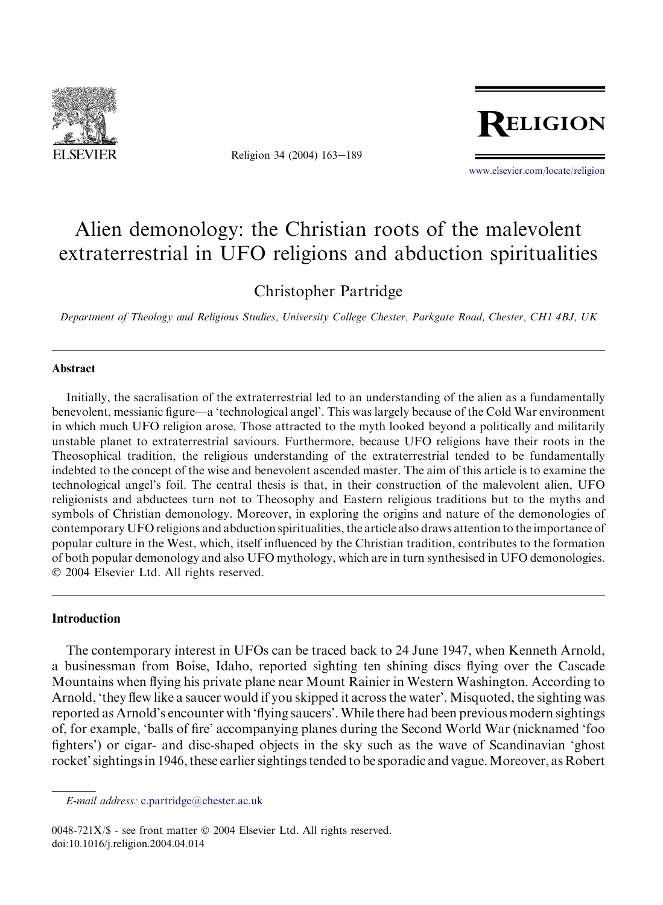

Religion 34 (2004) 163-189



[www.elsevier.com/locate/religion](http://www.elsevier.com/locate/religion)

# Alien demonology: the Christian roots of the malevolent extraterrestrial in UFO religions and abduction spiritualities

## Christopher Partridge

Department of Theology and Religious Studies, University College Chester, Parkgate Road, Chester, CH1 4BJ, UK

#### Abstract

Initially, the sacralisation of the extraterrestrial led to an understanding of the alien as a fundamentally benevolent, messianic figure—a 'technological angel'. This was largely because of the Cold War environment in which much UFO religion arose. Those attracted to the myth looked beyond a politically and militarily unstable planet to extraterrestrial saviours. Furthermore, because UFO religions have their roots in the Theosophical tradition, the religious understanding of the extraterrestrial tended to be fundamentally indebted to the concept of the wise and benevolent ascended master. The aim of this article is to examine the technological angel's foil. The central thesis is that, in their construction of the malevolent alien, UFO religionists and abductees turn not to Theosophy and Eastern religious traditions but to the myths and symbols of Christian demonology. Moreover, in exploring the origins and nature of the demonologies of contemporary UFO religions and abduction spiritualities, the article also draws attention to the importance of popular culture in the West, which, itself influenced by the Christian tradition, contributes to the formation of both popular demonology and also UFO mythology, which are in turn synthesised in UFO demonologies. 2004 Elsevier Ltd. All rights reserved.

#### Introduction

The contemporary interest in UFOs can be traced back to 24 June 1947, when Kenneth Arnold, a businessman from Boise, Idaho, reported sighting ten shining discs flying over the Cascade Mountains when flying his private plane near Mount Rainier in Western Washington. According to Arnold, 'they flew like a saucer would if you skipped it across the water'. Misquoted, the sighting was reported as Arnold's encounter with 'flying saucers'. While there had been previous modern sightings of, for example, 'balls of fire' accompanying planes during the Second World War (nicknamed 'foo fighters') or cigar- and disc-shaped objects in the sky such as the wave of Scandinavian 'ghost rocket' sightings in 1946, these earlier sightings tended to be sporadic and vague.Moreover, as Robert

E-mail address: [c.partridge@chester.ac.uk](mailto:c.partridge@chester.ac.uk)

 $0048-721X/\$  - see front matter  $\odot$  2004 Elsevier Ltd. All rights reserved. doi:10.1016/j.religion.2004.04.014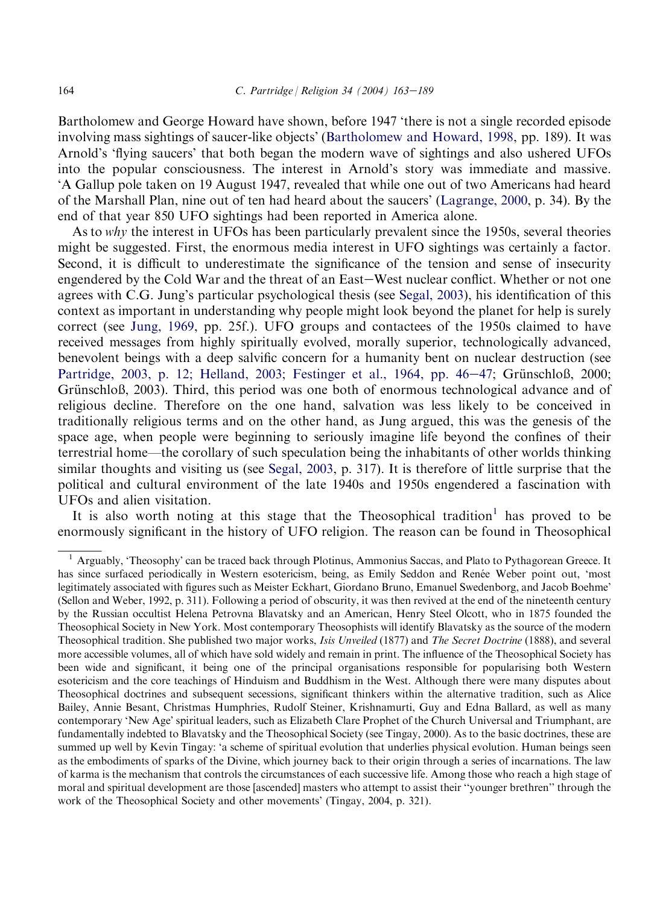Bartholomew and George Howard have shown, before 1947 'there is not a single recorded episode involving mass sightings of saucer-like objects' ([Bartholomew and Howard, 1998,](#page-23-0) pp. 189). It was Arnold's 'flying saucers' that both began the modern wave of sightings and also ushered UFOs into the popular consciousness. The interest in Arnold's story was immediate and massive. 'A Gallup pole taken on 19 August 1947, revealed that while one out of two Americans had heard of the Marshall Plan, nine out of ten had heard about the saucers' [\(Lagrange, 2000](#page-24-0), p. 34). By the end of that year 850 UFO sightings had been reported in America alone.

As to why the interest in UFOs has been particularly prevalent since the 1950s, several theories might be suggested. First, the enormous media interest in UFO sightings was certainly a factor. Second, it is difficult to underestimate the significance of the tension and sense of insecurity engendered by the Cold War and the threat of an East-West nuclear conflict. Whether or not one agrees with C.G. Jung's particular psychological thesis (see [Segal, 2003\)](#page-25-0), his identification of this context as important in understanding why people might look beyond the planet for help is surely correct (see [Jung, 1969](#page-24-0), pp. 25f.). UFO groups and contactees of the 1950s claimed to have received messages from highly spiritually evolved, morally superior, technologically advanced, benevolent beings with a deep salvific concern for a humanity bent on nuclear destruction (see Partridge, 2003, p. 12; Helland, 2003; Festinger et al., 1964, pp.  $46-47$ ; Grünschloß, 2000; Grünschloß, 2003). Third, this period was one both of enormous technological advance and of religious decline. Therefore on the one hand, salvation was less likely to be conceived in traditionally religious terms and on the other hand, as Jung argued, this was the genesis of the space age, when people were beginning to seriously imagine life beyond the confines of their terrestrial home—the corollary of such speculation being the inhabitants of other worlds thinking similar thoughts and visiting us (see [Segal, 2003,](#page-25-0) p. 317). It is therefore of little surprise that the political and cultural environment of the late 1940s and 1950s engendered a fascination with UFOs and alien visitation.

It is also worth noting at this stage that the Theosophical tradition<sup>1</sup> has proved to be enormously significant in the history of UFO religion. The reason can be found in Theosophical

 $<sup>1</sup>$  Arguably, 'Theosophy' can be traced back through Plotinus, Ammonius Saccas, and Plato to Pythagorean Greece. It</sup> has since surfaced periodically in Western esotericism, being, as Emily Seddon and Renée Weber point out, 'most legitimately associated with figures such as Meister Eckhart, Giordano Bruno, Emanuel Swedenborg, and Jacob Boehme' (Sellon and Weber, 1992, p. 311). Following a period of obscurity, it was then revived at the end of the nineteenth century by the Russian occultist Helena Petrovna Blavatsky and an American, Henry Steel Olcott, who in 1875 founded the Theosophical Society in New York. Most contemporary Theosophists will identify Blavatsky as the source of the modern Theosophical tradition. She published two major works, Isis Unveiled (1877) and The Secret Doctrine (1888), and several more accessible volumes, all of which have sold widely and remain in print. The influence of the Theosophical Society has been wide and significant, it being one of the principal organisations responsible for popularising both Western esotericism and the core teachings of Hinduism and Buddhism in the West. Although there were many disputes about Theosophical doctrines and subsequent secessions, significant thinkers within the alternative tradition, such as Alice Bailey, Annie Besant, Christmas Humphries, Rudolf Steiner, Krishnamurti, Guy and Edna Ballard, as well as many contemporary 'New Age' spiritual leaders, such as Elizabeth Clare Prophet of the Church Universal and Triumphant, are fundamentally indebted to Blavatsky and the Theosophical Society (see Tingay, 2000). As to the basic doctrines, these are summed up well by Kevin Tingay: 'a scheme of spiritual evolution that underlies physical evolution. Human beings seen as the embodiments of sparks of the Divine, which journey back to their origin through a series of incarnations. The law of karma is the mechanism that controls the circumstances of each successive life. Among those who reach a high stage of moral and spiritual development are those [ascended] masters who attempt to assist their ''younger brethren'' through the work of the Theosophical Society and other movements' (Tingay, 2004, p. 321).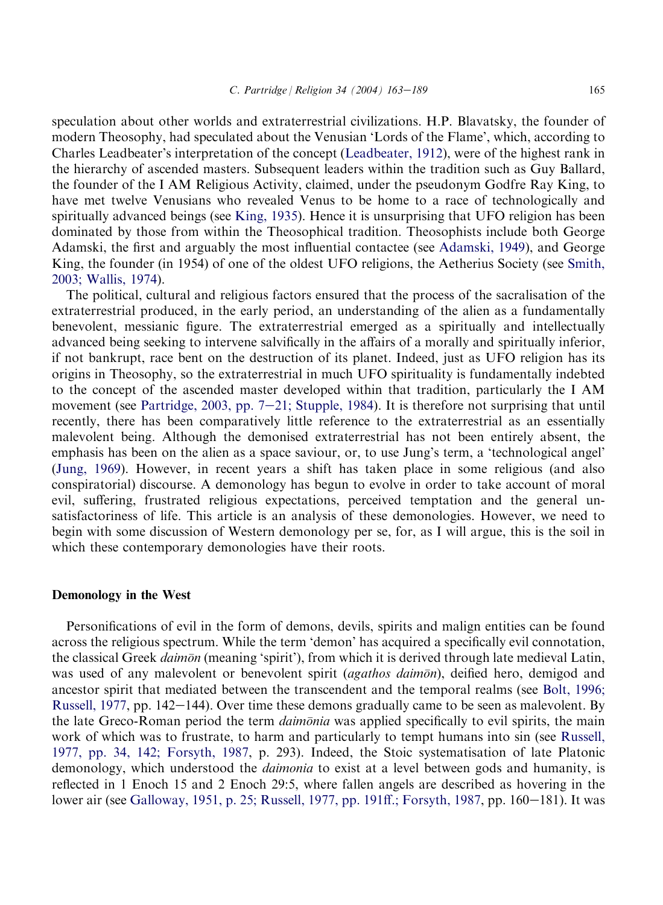speculation about other worlds and extraterrestrial civilizations. H.P. Blavatsky, the founder of modern Theosophy, had speculated about the Venusian 'Lords of the Flame', which, according to Charles Leadbeater's interpretation of the concept [\(Leadbeater, 1912](#page-25-0)), were of the highest rank in the hierarchy of ascended masters. Subsequent leaders within the tradition such as Guy Ballard, the founder of the I AM Religious Activity, claimed, under the pseudonym Godfre Ray King, to have met twelve Venusians who revealed Venus to be home to a race of technologically and spiritually advanced beings (see [King, 1935](#page-24-0)). Hence it is unsurprising that UFO religion has been dominated by those from within the Theosophical tradition. Theosophists include both George Adamski, the first and arguably the most influential contactee (see [Adamski, 1949](#page-23-0)), and George King, the founder (in 1954) of one of the oldest UFO religions, the Aetherius Society (see [Smith,](#page-25-0) [2003; Wallis, 1974\)](#page-25-0).

The political, cultural and religious factors ensured that the process of the sacralisation of the extraterrestrial produced, in the early period, an understanding of the alien as a fundamentally benevolent, messianic figure. The extraterrestrial emerged as a spiritually and intellectually advanced being seeking to intervene salvifically in the affairs of a morally and spiritually inferior, if not bankrupt, race bent on the destruction of its planet. Indeed, just as UFO religion has its origins in Theosophy, so the extraterrestrial in much UFO spirituality is fundamentally indebted to the concept of the ascended master developed within that tradition, particularly the I AM movement (see Partridge, 2003, pp.  $7-21$ ; Stupple, 1984). It is therefore not surprising that until recently, there has been comparatively little reference to the extraterrestrial as an essentially malevolent being. Although the demonised extraterrestrial has not been entirely absent, the emphasis has been on the alien as a space saviour, or, to use Jung's term, a 'technological angel' [\(Jung, 1969](#page-24-0)). However, in recent years a shift has taken place in some religious (and also conspiratorial) discourse. A demonology has begun to evolve in order to take account of moral evil, suffering, frustrated religious expectations, perceived temptation and the general unsatisfactoriness of life. This article is an analysis of these demonologies. However, we need to begin with some discussion of Western demonology per se, for, as I will argue, this is the soil in which these contemporary demonologies have their roots.

#### Demonology in the West

Personifications of evil in the form of demons, devils, spirits and malign entities can be found across the religious spectrum. While the term 'demon' has acquired a specifically evil connotation, the classical Greek *daimon* (meaning 'spirit'), from which it is derived through late medieval Latin, was used of any malevolent or benevolent spirit (*agathos daimon*), deified hero, demigod and ancestor spirit that mediated between the transcendent and the temporal realms (see [Bolt, 1996;](#page-23-0) [Russell, 1977,](#page-23-0) pp. 142–144). Over time these demons gradually came to be seen as malevolent. By the late Greco-Roman period the term *daimonia* was applied specifically to evil spirits, the main work of which was to frustrate, to harm and particularly to tempt humans into sin (see [Russell,](#page-25-0) [1977, pp. 34, 142; Forsyth, 1987](#page-25-0), p. 293). Indeed, the Stoic systematisation of late Platonic demonology, which understood the *daimonia* to exist at a level between gods and humanity, is reflected in 1 Enoch 15 and 2 Enoch 29:5, where fallen angels are described as hovering in the lower air (see [Galloway, 1951, p. 25; Russell, 1977, pp. 191ff.; Forsyth, 1987,](#page-24-0) pp. 160–181). It was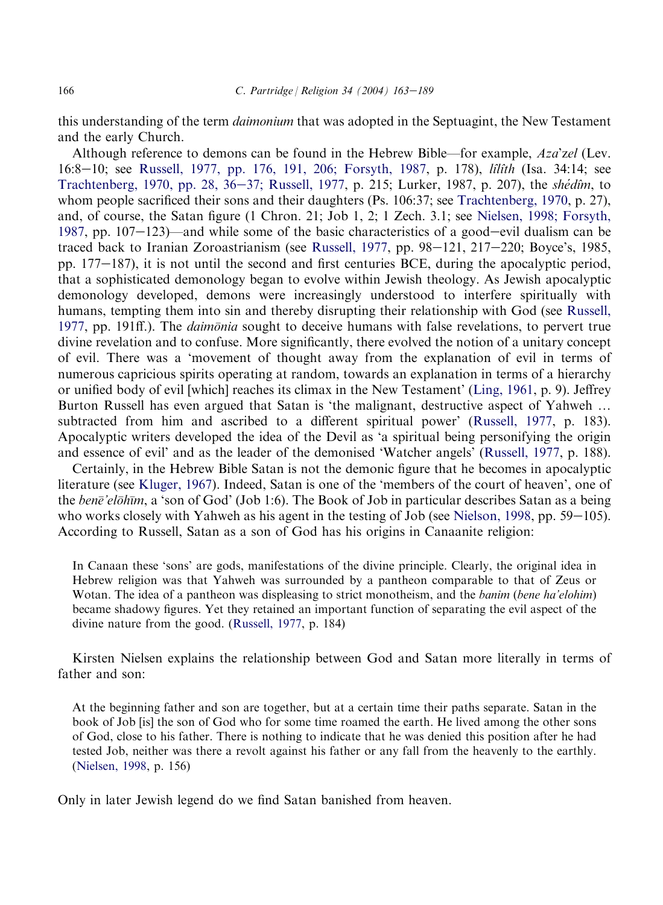this understanding of the term *daimonium* that was adopted in the Septuagint, the New Testament and the early Church.

Although reference to demons can be found in the Hebrew Bible—for example, Aza'zel (Lev. 16:8-10; see [Russell, 1977, pp. 176, 191, 206; Forsyth, 1987,](#page-25-0) p. 178), lîlîth (Isa. 34:14; see [Trachtenberg, 1970, pp. 28, 36](#page-26-0)–37; Russell, 1977, p. 215; Lurker, 1987, p. 207), the *shedûm*, to whom people sacrificed their sons and their daughters (Ps. 106:37; see [Trachtenberg, 1970](#page-26-0), p. 27), and, of course, the Satan figure (1 Chron. 21; Job 1, 2; 1 Zech. 3.1; see [Nielsen, 1998; Forsyth,](#page-25-0) [1987](#page-25-0), pp.  $107-123$ —and while some of the basic characteristics of a good—evil dualism can be traced back to Iranian Zoroastrianism (see [Russell, 1977](#page-25-0), pp.  $98-121$ ,  $217-220$ ; Boyce's, 1985, pp.  $177-187$ ), it is not until the second and first centuries BCE, during the apocalyptic period, that a sophisticated demonology began to evolve within Jewish theology. As Jewish apocalyptic demonology developed, demons were increasingly understood to interfere spiritually with humans, tempting them into sin and thereby disrupting their relationship with God (see [Russell,](#page-25-0) [1977](#page-25-0), pp. 191ff.). The *daimonia* sought to deceive humans with false revelations, to pervert true divine revelation and to confuse. More significantly, there evolved the notion of a unitary concept of evil. There was a 'movement of thought away from the explanation of evil in terms of numerous capricious spirits operating at random, towards an explanation in terms of a hierarchy or unified body of evil [which] reaches its climax in the New Testament' [\(Ling, 1961,](#page-25-0) p. 9). Jeffrey Burton Russell has even argued that Satan is 'the malignant, destructive aspect of Yahweh ... subtracted from him and ascribed to a different spiritual power' [\(Russell, 1977](#page-25-0), p. 183). Apocalyptic writers developed the idea of the Devil as 'a spiritual being personifying the origin and essence of evil' and as the leader of the demonised 'Watcher angels' [\(Russell, 1977](#page-25-0), p. 188). Certainly, in the Hebrew Bible Satan is not the demonic figure that he becomes in apocalyptic

literature (see [Kluger, 1967](#page-24-0)). Indeed, Satan is one of the 'members of the court of heaven', one of the bene'elohum, a 'son of God' (Job 1:6). The Book of Job in particular describes Satan as a being who works closely with Yahweh as his agent in the testing of Job (see [Nielson, 1998,](#page-25-0) pp.  $59-105$ ). According to Russell, Satan as a son of God has his origins in Canaanite religion:

In Canaan these 'sons' are gods, manifestations of the divine principle. Clearly, the original idea in Hebrew religion was that Yahweh was surrounded by a pantheon comparable to that of Zeus or Wotan. The idea of a pantheon was displeasing to strict monotheism, and the banim (bene ha'elohim) became shadowy figures. Yet they retained an important function of separating the evil aspect of the divine nature from the good. ([Russell, 1977,](#page-25-0) p. 184)

Kirsten Nielsen explains the relationship between God and Satan more literally in terms of father and son:

At the beginning father and son are together, but at a certain time their paths separate. Satan in the book of Job [is] the son of God who for some time roamed the earth. He lived among the other sons of God, close to his father. There is nothing to indicate that he was denied this position after he had tested Job, neither was there a revolt against his father or any fall from the heavenly to the earthly. ([Nielsen, 1998](#page-25-0), p. 156)

Only in later Jewish legend do we find Satan banished from heaven.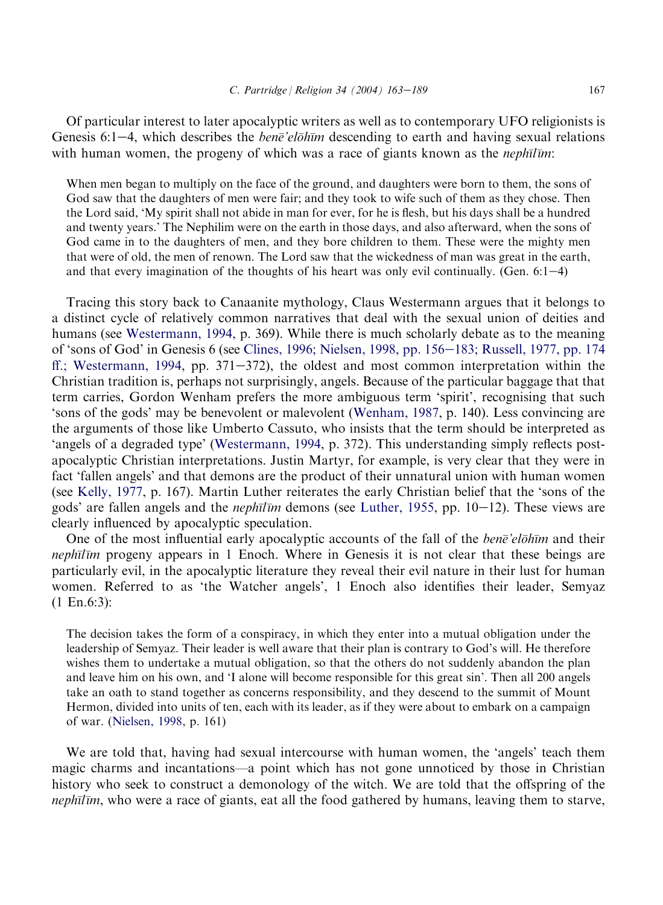Of particular interest to later apocalyptic writers as well as to contemporary UFO religionists is Genesis 6:1-4, which describes the *bene'elohum* descending to earth and having sexual relations with human women, the progeny of which was a race of giants known as the *nephilim*:

When men began to multiply on the face of the ground, and daughters were born to them, the sons of God saw that the daughters of men were fair; and they took to wife such of them as they chose. Then the Lord said, 'My spirit shall not abide in man for ever, for he is flesh, but his days shall be a hundred and twenty years.' The Nephilim were on the earth in those days, and also afterward, when the sons of God came in to the daughters of men, and they bore children to them. These were the mighty men that were of old, the men of renown. The Lord saw that the wickedness of man was great in the earth, and that every imagination of the thoughts of his heart was only evil continually. (Gen.  $6:1-4$ )

Tracing this story back to Canaanite mythology, Claus Westermann argues that it belongs to a distinct cycle of relatively common narratives that deal with the sexual union of deities and humans (see [Westermann, 1994,](#page-26-0) p. 369). While there is much scholarly debate as to the meaning of 'sons of God' in Genesis 6 (see [Clines, 1996; Nielsen, 1998, pp. 156](#page-23-0)–183; Russell, 1977, pp. 174 [ff.; Westermann, 1994,](#page-23-0) pp. 371-372), the oldest and most common interpretation within the Christian tradition is, perhaps not surprisingly, angels. Because of the particular baggage that that term carries, Gordon Wenham prefers the more ambiguous term 'spirit', recognising that such 'sons of the gods' may be benevolent or malevolent [\(Wenham, 1987](#page-26-0), p. 140). Less convincing are the arguments of those like Umberto Cassuto, who insists that the term should be interpreted as 'angels of a degraded type' [\(Westermann, 1994,](#page-26-0) p. 372). This understanding simply reflects postapocalyptic Christian interpretations. Justin Martyr, for example, is very clear that they were in fact 'fallen angels' and that demons are the product of their unnatural union with human women (see [Kelly, 1977](#page-24-0), p. 167). Martin Luther reiterates the early Christian belief that the 'sons of the gods' are fallen angels and the *nephilim* demons (see [Luther, 1955](#page-25-0), pp. 10–12). These views are clearly influenced by apocalyptic speculation.

One of the most influential early apocalyptic accounts of the fall of the  $ben\bar{e}'e l\bar{o}h\bar{u}m$  and their nephīlīm progeny appears in 1 Enoch. Where in Genesis it is not clear that these beings are particularly evil, in the apocalyptic literature they reveal their evil nature in their lust for human women. Referred to as 'the Watcher angels', 1 Enoch also identifies their leader, Semyaz (1 En.6:3):

The decision takes the form of a conspiracy, in which they enter into a mutual obligation under the leadership of Semyaz. Their leader is well aware that their plan is contrary to God's will. He therefore wishes them to undertake a mutual obligation, so that the others do not suddenly abandon the plan and leave him on his own, and 'I alone will become responsible for this great sin'. Then all 200 angels take an oath to stand together as concerns responsibility, and they descend to the summit of Mount Hermon, divided into units of ten, each with its leader, as if they were about to embark on a campaign of war. ([Nielsen, 1998,](#page-25-0) p. 161)

We are told that, having had sexual intercourse with human women, the 'angels' teach them magic charms and incantations—a point which has not gone unnoticed by those in Christian history who seek to construct a demonology of the witch. We are told that the offspring of the  $n eph<sub>u</sub>$  m/m, who were a race of giants, eat all the food gathered by humans, leaving them to starve,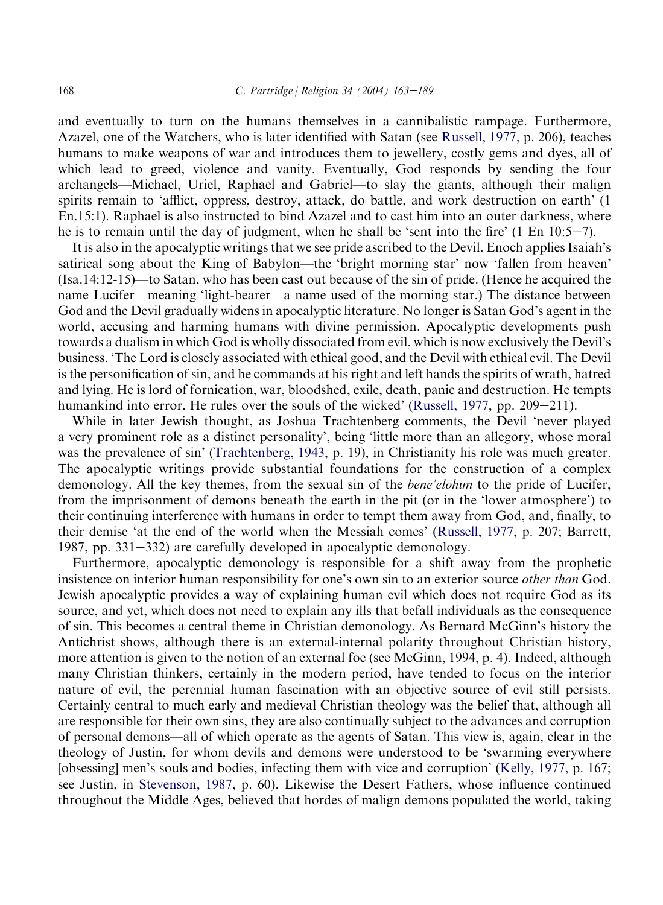and eventually to turn on the humans themselves in a cannibalistic rampage. Furthermore, Azazel, one of the Watchers, who is later identified with Satan (see [Russell, 1977,](#page-25-0) p. 206), teaches humans to make weapons of war and introduces them to jewellery, costly gems and dyes, all of which lead to greed, violence and vanity. Eventually, God responds by sending the four archangels—Michael, Uriel, Raphael and Gabriel—to slay the giants, although their malign spirits remain to 'afflict, oppress, destroy, attack, do battle, and work destruction on earth' (1 En.15:1). Raphael is also instructed to bind Azazel and to cast him into an outer darkness, where he is to remain until the day of judgment, when he shall be 'sent into the fire'  $(1 \text{ En } 10:5-7)$ .

It is also in the apocalyptic writings that we see pride ascribed to the Devil. Enoch applies Isaiah's satirical song about the King of Babylon—the 'bright morning star' now 'fallen from heaven' (Isa.14:12-15)—to Satan, who has been cast out because of the sin of pride. (Hence he acquired the name Lucifer—meaning 'light-bearer—a name used of the morning star.) The distance between God and the Devil gradually widens in apocalyptic literature. No longer is Satan God's agent in the world, accusing and harming humans with divine permission. Apocalyptic developments push towards a dualism in which God is wholly dissociated from evil, which is now exclusively the Devil's business. 'The Lord is closely associated with ethical good, and the Devil with ethical evil. The Devil is the personification of sin, and he commands at his right and left hands the spirits of wrath, hatred and lying. He is lord of fornication, war, bloodshed, exile, death, panic and destruction. He tempts humankind into error. He rules over the souls of the wicked' (Russell,  $1977$ , pp.  $209-211$ ).

While in later Jewish thought, as Joshua Trachtenberg comments, the Devil 'never played a very prominent role as a distinct personality', being 'little more than an allegory, whose moral was the prevalence of sin' ([Trachtenberg, 1943,](#page-26-0) p. 19), in Christianity his role was much greater. The apocalyptic writings provide substantial foundations for the construction of a complex demonology. All the key themes, from the sexual sin of the *bene'elohim* to the pride of Lucifer, from the imprisonment of demons beneath the earth in the pit (or in the 'lower atmosphere') to their continuing interference with humans in order to tempt them away from God, and, finally, to their demise 'at the end of the world when the Messiah comes' ([Russell, 1977,](#page-25-0) p. 207; Barrett, 1987, pp.  $331-332$ ) are carefully developed in apocalyptic demonology.

Furthermore, apocalyptic demonology is responsible for a shift away from the prophetic insistence on interior human responsibility for one's own sin to an exterior source *other than* God. Jewish apocalyptic provides a way of explaining human evil which does not require God as its source, and yet, which does not need to explain any ills that befall individuals as the consequence of sin. This becomes a central theme in Christian demonology. As Bernard McGinn's history the Antichrist shows, although there is an external-internal polarity throughout Christian history, more attention is given to the notion of an external foe (see McGinn, 1994, p. 4). Indeed, although many Christian thinkers, certainly in the modern period, have tended to focus on the interior nature of evil, the perennial human fascination with an objective source of evil still persists. Certainly central to much early and medieval Christian theology was the belief that, although all are responsible for their own sins, they are also continually subject to the advances and corruption of personal demons—all of which operate as the agents of Satan. This view is, again, clear in the theology of Justin, for whom devils and demons were understood to be 'swarming everywhere [obsessing] men's souls and bodies, infecting them with vice and corruption' ([Kelly, 1977,](#page-24-0) p. 167; see Justin, in [Stevenson, 1987,](#page-25-0) p. 60). Likewise the Desert Fathers, whose influence continued throughout the Middle Ages, believed that hordes of malign demons populated the world, taking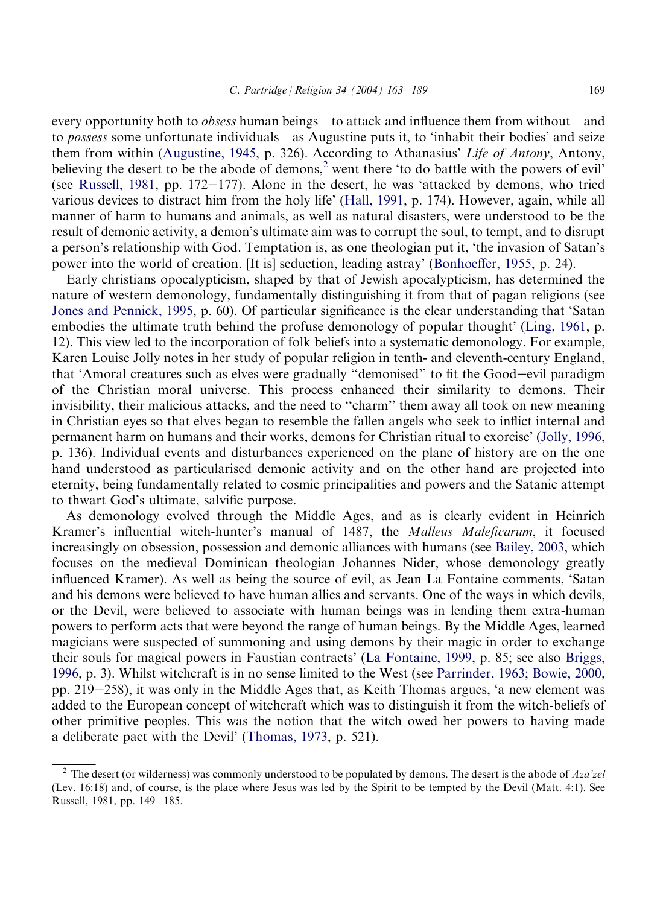every opportunity both to *obsess* human beings—to attack and influence them from without—and to possess some unfortunate individuals—as Augustine puts it, to 'inhabit their bodies' and seize them from within ([Augustine, 1945](#page-23-0), p. 326). According to Athanasius' Life of Antony, Antony, believing the desert to be the abode of demons,<sup>2</sup> went there 'to do battle with the powers of evil' (see [Russell, 1981](#page-25-0), pp. 172–177). Alone in the desert, he was 'attacked by demons, who tried various devices to distract him from the holy life' ([Hall, 1991](#page-24-0), p. 174). However, again, while all manner of harm to humans and animals, as well as natural disasters, were understood to be the result of demonic activity, a demon's ultimate aim was to corrupt the soul, to tempt, and to disrupt a person's relationship with God. Temptation is, as one theologian put it, 'the invasion of Satan's power into the world of creation. [It is] seduction, leading astray' ([Bonhoeffer, 1955](#page-23-0), p. 24).

Early christians opocalypticism, shaped by that of Jewish apocalypticism, has determined the nature of western demonology, fundamentally distinguishing it from that of pagan religions (see [Jones and Pennick, 1995](#page-24-0), p. 60). Of particular significance is the clear understanding that 'Satan embodies the ultimate truth behind the profuse demonology of popular thought' [\(Ling, 1961](#page-25-0), p. 12). This view led to the incorporation of folk beliefs into a systematic demonology. For example, Karen Louise Jolly notes in her study of popular religion in tenth- and eleventh-century England, that 'Amoral creatures such as elves were gradually "demonised" to fit the Good-evil paradigm of the Christian moral universe. This process enhanced their similarity to demons. Their invisibility, their malicious attacks, and the need to ''charm'' them away all took on new meaning in Christian eyes so that elves began to resemble the fallen angels who seek to inflict internal and permanent harm on humans and their works, demons for Christian ritual to exorcise' [\(Jolly, 1996,](#page-24-0) p. 136). Individual events and disturbances experienced on the plane of history are on the one hand understood as particularised demonic activity and on the other hand are projected into eternity, being fundamentally related to cosmic principalities and powers and the Satanic attempt to thwart God's ultimate, salvific purpose.

As demonology evolved through the Middle Ages, and as is clearly evident in Heinrich Kramer's influential witch-hunter's manual of 1487, the Malleus Maleficarum, it focused increasingly on obsession, possession and demonic alliances with humans (see [Bailey, 2003](#page-23-0), which focuses on the medieval Dominican theologian Johannes Nider, whose demonology greatly influenced Kramer). As well as being the source of evil, as Jean La Fontaine comments, 'Satan and his demons were believed to have human allies and servants. One of the ways in which devils, or the Devil, were believed to associate with human beings was in lending them extra-human powers to perform acts that were beyond the range of human beings. By the Middle Ages, learned magicians were suspected of summoning and using demons by their magic in order to exchange their souls for magical powers in Faustian contracts' [\(La Fontaine, 1999](#page-24-0), p. 85; see also [Briggs,](#page-23-0) [1996](#page-23-0), p. 3). Whilst witchcraft is in no sense limited to the West (see [Parrinder, 1963; Bowie, 2000,](#page-25-0) pp.  $219-258$ ), it was only in the Middle Ages that, as Keith Thomas argues, 'a new element was added to the European concept of witchcraft which was to distinguish it from the witch-beliefs of other primitive peoples. This was the notion that the witch owed her powers to having made a deliberate pact with the Devil' [\(Thomas, 1973,](#page-26-0) p. 521).

 $2$  The desert (or wilderness) was commonly understood to be populated by demons. The desert is the abode of Aza'zel (Lev. 16:18) and, of course, is the place where Jesus was led by the Spirit to be tempted by the Devil (Matt. 4:1). See Russell, 1981, pp. 149–185.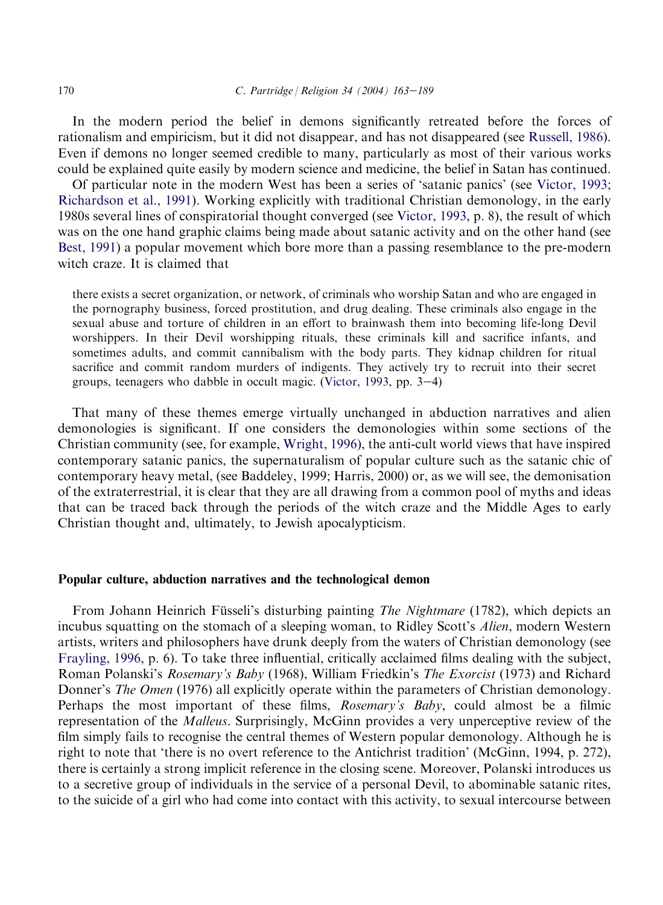In the modern period the belief in demons significantly retreated before the forces of rationalism and empiricism, but it did not disappear, and has not disappeared (see [Russell, 1986](#page-25-0)). Even if demons no longer seemed credible to many, particularly as most of their various works could be explained quite easily by modern science and medicine, the belief in Satan has continued.

Of particular note in the modern West has been a series of 'satanic panics' (see [Victor, 1993;](#page-26-0) [Richardson et al., 1991](#page-26-0)). Working explicitly with traditional Christian demonology, in the early 1980s several lines of conspiratorial thought converged (see [Victor, 1993](#page-26-0), p. 8), the result of which was on the one hand graphic claims being made about satanic activity and on the other hand (see [Best, 1991](#page-23-0)) a popular movement which bore more than a passing resemblance to the pre-modern witch craze. It is claimed that

there exists a secret organization, or network, of criminals who worship Satan and who are engaged in the pornography business, forced prostitution, and drug dealing. These criminals also engage in the sexual abuse and torture of children in an effort to brainwash them into becoming life-long Devil worshippers. In their Devil worshipping rituals, these criminals kill and sacrifice infants, and sometimes adults, and commit cannibalism with the body parts. They kidnap children for ritual sacrifice and commit random murders of indigents. They actively try to recruit into their secret groups, teenagers who dabble in occult magic. [\(Victor, 1993](#page-26-0), pp.  $3-4$ )

That many of these themes emerge virtually unchanged in abduction narratives and alien demonologies is significant. If one considers the demonologies within some sections of the Christian community (see, for example, [Wright, 1996](#page-26-0)), the anti-cult world views that have inspired contemporary satanic panics, the supernaturalism of popular culture such as the satanic chic of contemporary heavy metal, (see Baddeley, 1999; Harris, 2000) or, as we will see, the demonisation of the extraterrestrial, it is clear that they are all drawing from a common pool of myths and ideas that can be traced back through the periods of the witch craze and the Middle Ages to early Christian thought and, ultimately, to Jewish apocalypticism.

#### Popular culture, abduction narratives and the technological demon

From Johann Heinrich Füsseli's disturbing painting *The Nightmare* (1782), which depicts an incubus squatting on the stomach of a sleeping woman, to Ridley Scott's *Alien*, modern Western artists, writers and philosophers have drunk deeply from the waters of Christian demonology (see [Frayling, 1996](#page-24-0), p. 6). To take three influential, critically acclaimed films dealing with the subject, Roman Polanski's Rosemary's Baby (1968), William Friedkin's The Exorcist (1973) and Richard Donner's *The Omen* (1976) all explicitly operate within the parameters of Christian demonology. Perhaps the most important of these films, Rosemary's Baby, could almost be a filmic representation of the Malleus. Surprisingly, McGinn provides a very unperceptive review of the film simply fails to recognise the central themes of Western popular demonology. Although he is right to note that 'there is no overt reference to the Antichrist tradition' (McGinn, 1994, p. 272), there is certainly a strong implicit reference in the closing scene. Moreover, Polanski introduces us to a secretive group of individuals in the service of a personal Devil, to abominable satanic rites, to the suicide of a girl who had come into contact with this activity, to sexual intercourse between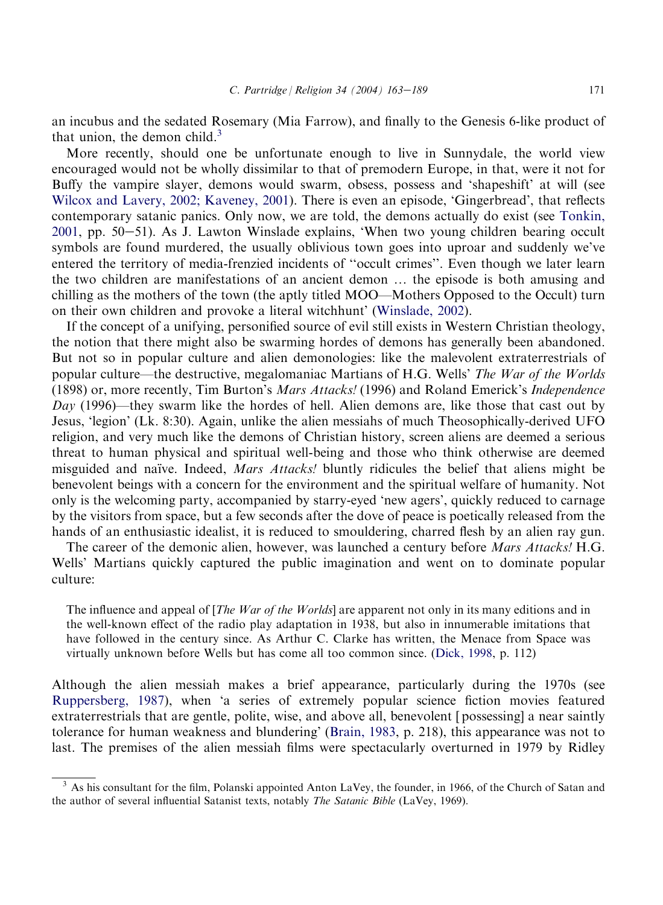an incubus and the sedated Rosemary (Mia Farrow), and finally to the Genesis 6-like product of that union, the demon child. $3$ 

More recently, should one be unfortunate enough to live in Sunnydale, the world view encouraged would not be wholly dissimilar to that of premodern Europe, in that, were it not for Buffy the vampire slayer, demons would swarm, obsess, possess and 'shapeshift' at will (see [Wilcox and Lavery, 2002; Kaveney, 2001](#page-26-0)). There is even an episode, 'Gingerbread', that reflects contemporary satanic panics. Only now, we are told, the demons actually do exist (see [Tonkin,](#page-26-0)  $2001$ , pp. 50–51). As J. Lawton Winslade explains, 'When two young children bearing occult symbols are found murdered, the usually oblivious town goes into uproar and suddenly we've entered the territory of media-frenzied incidents of ''occult crimes''. Even though we later learn the two children are manifestations of an ancient demon . the episode is both amusing and chilling as the mothers of the town (the aptly titled MOO—Mothers Opposed to the Occult) turn on their own children and provoke a literal witchhunt' [\(Winslade, 2002](#page-26-0)).

If the concept of a unifying, personified source of evil still exists in Western Christian theology, the notion that there might also be swarming hordes of demons has generally been abandoned. But not so in popular culture and alien demonologies: like the malevolent extraterrestrials of popular culture—the destructive, megalomaniac Martians of H.G. Wells' The War of the Worlds (1898) or, more recently, Tim Burton's Mars Attacks! (1996) and Roland Emerick's Independence Day (1996)—they swarm like the hordes of hell. Alien demons are, like those that cast out by Jesus, 'legion' (Lk. 8:30). Again, unlike the alien messiahs of much Theosophically-derived UFO religion, and very much like the demons of Christian history, screen aliens are deemed a serious threat to human physical and spiritual well-being and those who think otherwise are deemed misguided and naïve. Indeed, *Mars Attacks!* bluntly ridicules the belief that aliens might be benevolent beings with a concern for the environment and the spiritual welfare of humanity. Not only is the welcoming party, accompanied by starry-eyed 'new agers', quickly reduced to carnage by the visitors from space, but a few seconds after the dove of peace is poetically released from the hands of an enthusiastic idealist, it is reduced to smouldering, charred flesh by an alien ray gun.

The career of the demonic alien, however, was launched a century before *Mars Attacks!* H.G. Wells' Martians quickly captured the public imagination and went on to dominate popular culture:

The influence and appeal of [*The War of the Worlds*] are apparent not only in its many editions and in the well-known effect of the radio play adaptation in 1938, but also in innumerable imitations that have followed in the century since. As Arthur C. Clarke has written, the Menace from Space was virtually unknown before Wells but has come all too common since. ([Dick, 1998](#page-23-0), p. 112)

Although the alien messiah makes a brief appearance, particularly during the 1970s (see [Ruppersberg, 1987\)](#page-25-0), when 'a series of extremely popular science fiction movies featured extraterrestrials that are gentle, polite, wise, and above all, benevolent [ possessing] a near saintly tolerance for human weakness and blundering' ([Brain, 1983,](#page-23-0) p. 218), this appearance was not to last. The premises of the alien messiah films were spectacularly overturned in 1979 by Ridley

<sup>&</sup>lt;sup>3</sup> As his consultant for the film, Polanski appointed Anton LaVey, the founder, in 1966, of the Church of Satan and the author of several influential Satanist texts, notably The Satanic Bible (LaVey, 1969).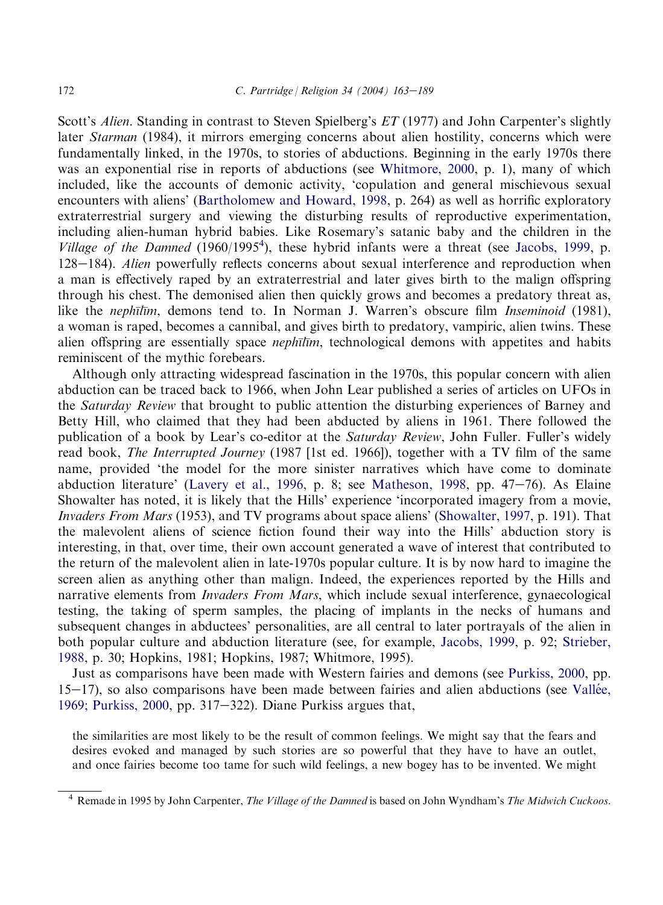Scott's *Alien*. Standing in contrast to Steven Spielberg's ET (1977) and John Carpenter's slightly later *Starman* (1984), it mirrors emerging concerns about alien hostility, concerns which were fundamentally linked, in the 1970s, to stories of abductions. Beginning in the early 1970s there was an exponential rise in reports of abductions (see [Whitmore, 2000,](#page-26-0) p. 1), many of which included, like the accounts of demonic activity, 'copulation and general mischievous sexual encounters with aliens' [\(Bartholomew and Howard, 1998,](#page-23-0) p. 264) as well as horrific exploratory extraterrestrial surgery and viewing the disturbing results of reproductive experimentation, including alien-human hybrid babies. Like Rosemary's satanic baby and the children in the Village of the Damned (1960/1995<sup>4</sup>), these hybrid infants were a threat (see [Jacobs, 1999,](#page-24-0) p.  $128-184$ ). *Alien* powerfully reflects concerns about sexual interference and reproduction when a man is effectively raped by an extraterrestrial and later gives birth to the malign offspring through his chest. The demonised alien then quickly grows and becomes a predatory threat as, like the *nephilim*, demons tend to. In Norman J. Warren's obscure film *Inseminoid* (1981), a woman is raped, becomes a cannibal, and gives birth to predatory, vampiric, alien twins. These alien offspring are essentially space *nephilim*, technological demons with appetites and habits reminiscent of the mythic forebears.

Although only attracting widespread fascination in the 1970s, this popular concern with alien abduction can be traced back to 1966, when John Lear published a series of articles on UFOs in the *Saturday Review* that brought to public attention the disturbing experiences of Barney and Betty Hill, who claimed that they had been abducted by aliens in 1961. There followed the publication of a book by Lear's co-editor at the *Saturday Review*, John Fuller. Fuller's widely read book, The Interrupted Journey (1987 [1st ed. 1966]), together with a TV film of the same name, provided 'the model for the more sinister narratives which have come to dominate abduction literature' ([Lavery et al., 1996,](#page-25-0) p. 8; see [Matheson, 1998,](#page-25-0) pp.  $47-76$ ). As Elaine Showalter has noted, it is likely that the Hills' experience 'incorporated imagery from a movie, Invaders From Mars (1953), and TV programs about space aliens' [\(Showalter, 1997](#page-25-0), p. 191). That the malevolent aliens of science fiction found their way into the Hills' abduction story is interesting, in that, over time, their own account generated a wave of interest that contributed to the return of the malevolent alien in late-1970s popular culture. It is by now hard to imagine the screen alien as anything other than malign. Indeed, the experiences reported by the Hills and narrative elements from *Invaders From Mars*, which include sexual interference, gynaecological testing, the taking of sperm samples, the placing of implants in the necks of humans and subsequent changes in abductees' personalities, are all central to later portrayals of the alien in both popular culture and abduction literature (see, for example, [Jacobs, 1999,](#page-24-0) p. 92; [Strieber,](#page-25-0) [1988](#page-25-0), p. 30; Hopkins, 1981; Hopkins, 1987; Whitmore, 1995).

Just as comparisons have been made with Western fairies and demons (see [Purkiss, 2000](#page-25-0), pp.  $15-17$ ), so also comparisons have been made between fairies and alien abductions (see Vallée, [1969; Purkiss, 2000,](#page-26-0) pp. 317 $-322$ ). Diane Purkiss argues that,

the similarities are most likely to be the result of common feelings. We might say that the fears and desires evoked and managed by such stories are so powerful that they have to have an outlet, and once fairies become too tame for such wild feelings, a new bogey has to be invented. We might

<sup>4</sup> Remade in 1995 by John Carpenter, The Village of the Damned is based on John Wyndham's The Midwich Cuckoos.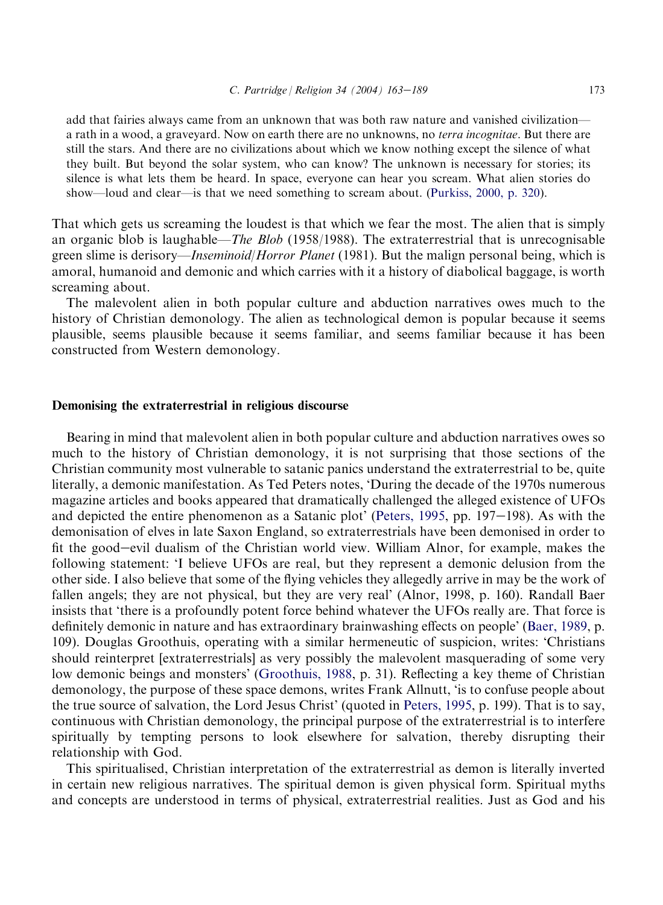add that fairies always came from an unknown that was both raw nature and vanished civilization a rath in a wood, a graveyard. Now on earth there are no unknowns, no terra incognitae. But there are still the stars. And there are no civilizations about which we know nothing except the silence of what they built. But beyond the solar system, who can know? The unknown is necessary for stories; its silence is what lets them be heard. In space, everyone can hear you scream. What alien stories do show—loud and clear—is that we need something to scream about. ([Purkiss, 2000, p. 320](#page-25-0)).

That which gets us screaming the loudest is that which we fear the most. The alien that is simply an organic blob is laughable—*The Blob* (1958/1988). The extraterrestrial that is unrecognisable green slime is derisory—*Inseminoid/Horror Planet* (1981). But the malign personal being, which is amoral, humanoid and demonic and which carries with it a history of diabolical baggage, is worth screaming about.

The malevolent alien in both popular culture and abduction narratives owes much to the history of Christian demonology. The alien as technological demon is popular because it seems plausible, seems plausible because it seems familiar, and seems familiar because it has been constructed from Western demonology.

#### Demonising the extraterrestrial in religious discourse

Bearing in mind that malevolent alien in both popular culture and abduction narratives owes so much to the history of Christian demonology, it is not surprising that those sections of the Christian community most vulnerable to satanic panics understand the extraterrestrial to be, quite literally, a demonic manifestation. As Ted Peters notes, 'During the decade of the 1970s numerous magazine articles and books appeared that dramatically challenged the alleged existence of UFOs and depicted the entire phenomenon as a Satanic plot' ([Peters, 1995](#page-25-0), pp.  $197-198$ ). As with the demonisation of elves in late Saxon England, so extraterrestrials have been demonised in order to fit the good-evil dualism of the Christian world view. William Alnor, for example, makes the following statement: 'I believe UFOs are real, but they represent a demonic delusion from the other side. I also believe that some of the flying vehicles they allegedly arrive in may be the work of fallen angels; they are not physical, but they are very real' (Alnor, 1998, p. 160). Randall Baer insists that 'there is a profoundly potent force behind whatever the UFOs really are. That force is definitely demonic in nature and has extraordinary brainwashing effects on people' ([Baer, 1989](#page-23-0), p. 109). Douglas Groothuis, operating with a similar hermeneutic of suspicion, writes: 'Christians should reinterpret [extraterrestrials] as very possibly the malevolent masquerading of some very low demonic beings and monsters' [\(Groothuis, 1988](#page-24-0), p. 31). Reflecting a key theme of Christian demonology, the purpose of these space demons, writes Frank Allnutt, 'is to confuse people about the true source of salvation, the Lord Jesus Christ' (quoted in [Peters, 1995](#page-25-0), p. 199). That is to say, continuous with Christian demonology, the principal purpose of the extraterrestrial is to interfere spiritually by tempting persons to look elsewhere for salvation, thereby disrupting their relationship with God.

This spiritualised, Christian interpretation of the extraterrestrial as demon is literally inverted in certain new religious narratives. The spiritual demon is given physical form. Spiritual myths and concepts are understood in terms of physical, extraterrestrial realities. Just as God and his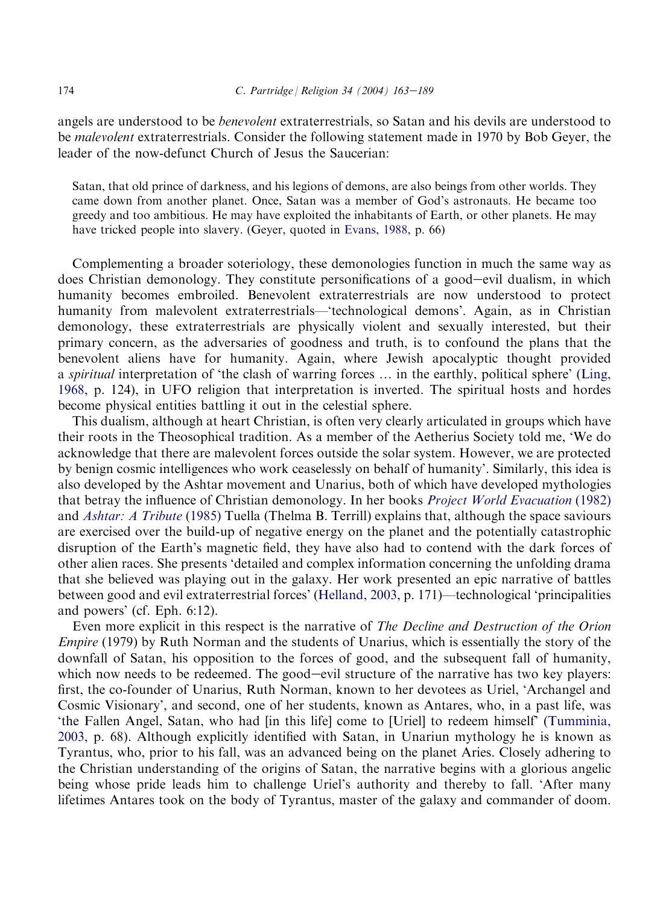angels are understood to be benevolent extraterrestrials, so Satan and his devils are understood to be malevolent extraterrestrials. Consider the following statement made in 1970 by Bob Geyer, the leader of the now-defunct Church of Jesus the Saucerian:

Satan, that old prince of darkness, and his legions of demons, are also beings from other worlds. They came down from another planet. Once, Satan was a member of God's astronauts. He became too greedy and too ambitious. He may have exploited the inhabitants of Earth, or other planets. He may have tricked people into slavery. (Geyer, quoted in [Evans, 1988,](#page-23-0) p. 66)

Complementing a broader soteriology, these demonologies function in much the same way as does Christian demonology. They constitute personifications of a good-evil dualism, in which humanity becomes embroiled. Benevolent extraterrestrials are now understood to protect humanity from malevolent extraterrestrials—'technological demons'. Again, as in Christian demonology, these extraterrestrials are physically violent and sexually interested, but their primary concern, as the adversaries of goodness and truth, is to confound the plans that the benevolent aliens have for humanity. Again, where Jewish apocalyptic thought provided a *spiritual* interpretation of 'the clash of warring forces ... in the earthly, political sphere' ([Ling,](#page-25-0) [1968](#page-25-0), p. 124), in UFO religion that interpretation is inverted. The spiritual hosts and hordes become physical entities battling it out in the celestial sphere.

This dualism, although at heart Christian, is often very clearly articulated in groups which have their roots in the Theosophical tradition. As a member of the Aetherius Society told me, 'We do acknowledge that there are malevolent forces outside the solar system. However, we are protected by benign cosmic intelligences who work ceaselessly on behalf of humanity'. Similarly, this idea is also developed by the Ashtar movement and Unarius, both of which have developed mythologies that betray the influence of Christian demonology. In her books [Project World Evacuation](#page-26-0) (1982) and [Ashtar: A Tribute](#page-26-0) (1985) Tuella (Thelma B. Terrill) explains that, although the space saviours are exercised over the build-up of negative energy on the planet and the potentially catastrophic disruption of the Earth's magnetic field, they have also had to contend with the dark forces of other alien races. She presents 'detailed and complex information concerning the unfolding drama that she believed was playing out in the galaxy. Her work presented an epic narrative of battles between good and evil extraterrestrial forces' [\(Helland, 2003,](#page-24-0) p. 171)—technological 'principalities and powers' (cf. Eph. 6:12).

Even more explicit in this respect is the narrative of The Decline and Destruction of the Orion Empire (1979) by Ruth Norman and the students of Unarius, which is essentially the story of the downfall of Satan, his opposition to the forces of good, and the subsequent fall of humanity, which now needs to be redeemed. The good-evil structure of the narrative has two key players: first, the co-founder of Unarius, Ruth Norman, known to her devotees as Uriel, 'Archangel and Cosmic Visionary', and second, one of her students, known as Antares, who, in a past life, was 'the Fallen Angel, Satan, who had [in this life] come to [Uriel] to redeem himself' ([Tumminia,](#page-26-0) [2003](#page-26-0), p. 68). Although explicitly identified with Satan, in Unariun mythology he is known as Tyrantus, who, prior to his fall, was an advanced being on the planet Aries. Closely adhering to the Christian understanding of the origins of Satan, the narrative begins with a glorious angelic being whose pride leads him to challenge Uriel's authority and thereby to fall. 'After many lifetimes Antares took on the body of Tyrantus, master of the galaxy and commander of doom.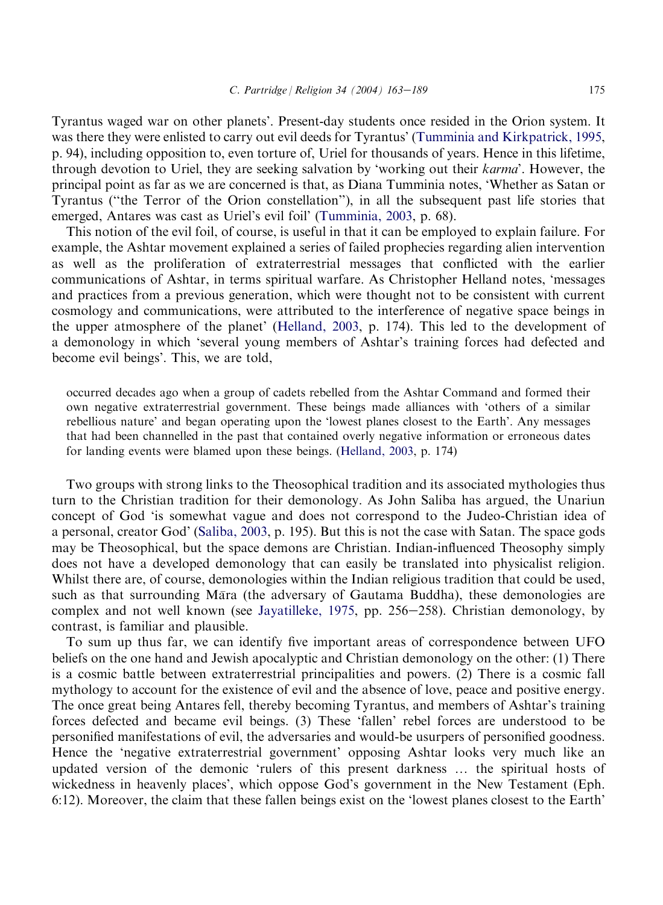Tyrantus waged war on other planets'. Present-day students once resided in the Orion system. It was there they were enlisted to carry out evil deeds for Tyrantus' ([Tumminia and Kirkpatrick, 1995,](#page-26-0) p. 94), including opposition to, even torture of, Uriel for thousands of years. Hence in this lifetime, through devotion to Uriel, they are seeking salvation by 'working out their karma'. However, the principal point as far as we are concerned is that, as Diana Tumminia notes, 'Whether as Satan or Tyrantus (''the Terror of the Orion constellation''), in all the subsequent past life stories that emerged, Antares was cast as Uriel's evil foil' [\(Tumminia, 2003,](#page-26-0) p. 68).

This notion of the evil foil, of course, is useful in that it can be employed to explain failure. For example, the Ashtar movement explained a series of failed prophecies regarding alien intervention as well as the proliferation of extraterrestrial messages that conflicted with the earlier communications of Ashtar, in terms spiritual warfare. As Christopher Helland notes, 'messages and practices from a previous generation, which were thought not to be consistent with current cosmology and communications, were attributed to the interference of negative space beings in the upper atmosphere of the planet' ([Helland, 2003,](#page-24-0) p. 174). This led to the development of a demonology in which 'several young members of Ashtar's training forces had defected and become evil beings'. This, we are told,

occurred decades ago when a group of cadets rebelled from the Ashtar Command and formed their own negative extraterrestrial government. These beings made alliances with 'others of a similar rebellious nature' and began operating upon the 'lowest planes closest to the Earth'. Any messages that had been channelled in the past that contained overly negative information or erroneous dates for landing events were blamed upon these beings. ([Helland, 2003,](#page-24-0) p. 174)

Two groups with strong links to the Theosophical tradition and its associated mythologies thus turn to the Christian tradition for their demonology. As John Saliba has argued, the Unariun concept of God 'is somewhat vague and does not correspond to the Judeo-Christian idea of a personal, creator God' ([Saliba, 2003](#page-25-0), p. 195). But this is not the case with Satan. The space gods may be Theosophical, but the space demons are Christian. Indian-influenced Theosophy simply does not have a developed demonology that can easily be translated into physicalist religion. Whilst there are, of course, demonologies within the Indian religious tradition that could be used, such as that surrounding Mara (the adversary of Gautama Buddha), these demonologies are complex and not well known (see Jayatilleke,  $1975$ , pp.  $256-258$ ). Christian demonology, by contrast, is familiar and plausible.

To sum up thus far, we can identify five important areas of correspondence between UFO beliefs on the one hand and Jewish apocalyptic and Christian demonology on the other: (1) There is a cosmic battle between extraterrestrial principalities and powers. (2) There is a cosmic fall mythology to account for the existence of evil and the absence of love, peace and positive energy. The once great being Antares fell, thereby becoming Tyrantus, and members of Ashtar's training forces defected and became evil beings. (3) These 'fallen' rebel forces are understood to be personified manifestations of evil, the adversaries and would-be usurpers of personified goodness. Hence the 'negative extraterrestrial government' opposing Ashtar looks very much like an updated version of the demonic 'rulers of this present darkness ... the spiritual hosts of wickedness in heavenly places', which oppose God's government in the New Testament (Eph. 6:12). Moreover, the claim that these fallen beings exist on the 'lowest planes closest to the Earth'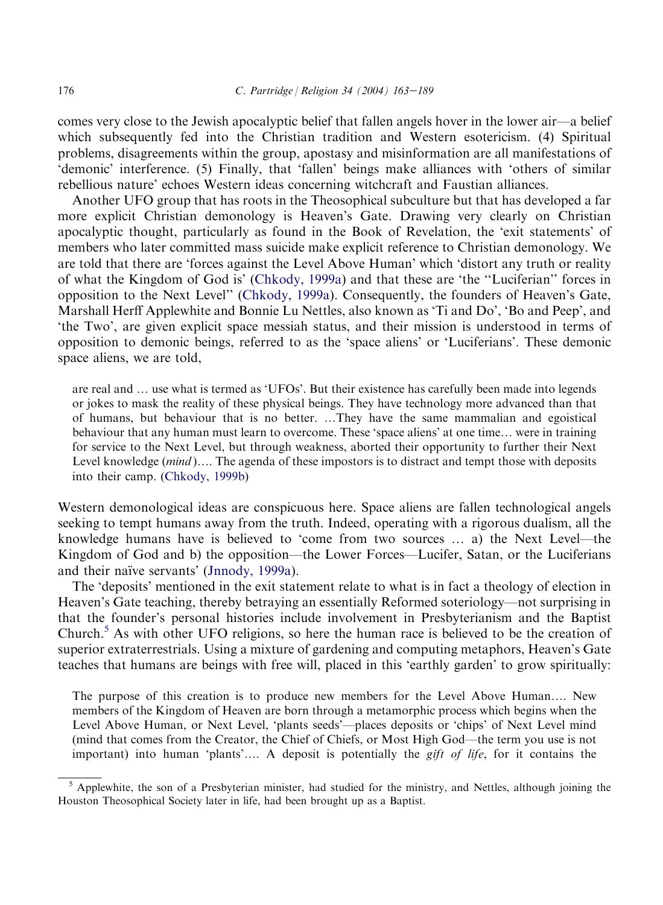comes very close to the Jewish apocalyptic belief that fallen angels hover in the lower air—a belief which subsequently fed into the Christian tradition and Western esotericism. (4) Spiritual problems, disagreements within the group, apostasy and misinformation are all manifestations of 'demonic' interference. (5) Finally, that 'fallen' beings make alliances with 'others of similar rebellious nature' echoes Western ideas concerning witchcraft and Faustian alliances.

Another UFO group that has roots in the Theosophical subculture but that has developed a far more explicit Christian demonology is Heaven's Gate. Drawing very clearly on Christian apocalyptic thought, particularly as found in the Book of Revelation, the 'exit statements' of members who later committed mass suicide make explicit reference to Christian demonology. We are told that there are 'forces against the Level Above Human' which 'distort any truth or reality of what the Kingdom of God is' [\(Chkody, 1999a\)](#page-23-0) and that these are 'the ''Luciferian'' forces in opposition to the Next Level'' [\(Chkody, 1999a\)](#page-23-0). Consequently, the founders of Heaven's Gate, Marshall Herff Applewhite and Bonnie Lu Nettles, also known as 'Ti and Do', 'Bo and Peep', and 'the Two', are given explicit space messiah status, and their mission is understood in terms of opposition to demonic beings, referred to as the 'space aliens' or 'Luciferians'. These demonic space aliens, we are told,

are real and ... use what is termed as 'UFOs'. But their existence has carefully been made into legends or jokes to mask the reality of these physical beings. They have technology more advanced than that of humans, but behaviour that is no better. ...They have the same mammalian and egoistical behaviour that any human must learn to overcome. These 'space aliens' at one time... were in training for service to the Next Level, but through weakness, aborted their opportunity to further their Next Level knowledge (*mind*).... The agenda of these impostors is to distract and tempt those with deposits into their camp. [\(Chkody, 1999b\)](#page-23-0)

Western demonological ideas are conspicuous here. Space aliens are fallen technological angels seeking to tempt humans away from the truth. Indeed, operating with a rigorous dualism, all the knowledge humans have is believed to 'come from two sources ... a) the Next Level—the Kingdom of God and b) the opposition—the Lower Forces—Lucifer, Satan, or the Luciferians and their naïve servants' ([Jnnody, 1999a](#page-24-0)).

The 'deposits' mentioned in the exit statement relate to what is in fact a theology of election in Heaven's Gate teaching, thereby betraying an essentially Reformed soteriology—not surprising in that the founder's personal histories include involvement in Presbyterianism and the Baptist Church.5 As with other UFO religions, so here the human race is believed to be the creation of superior extraterrestrials. Using a mixture of gardening and computing metaphors, Heaven's Gate teaches that humans are beings with free will, placed in this 'earthly garden' to grow spiritually:

The purpose of this creation is to produce new members for the Level Above Human.... New members of the Kingdom of Heaven are born through a metamorphic process which begins when the Level Above Human, or Next Level, 'plants seeds'—places deposits or 'chips' of Next Level mind (mind that comes from the Creator, the Chief of Chiefs, or Most High God—the term you use is not important) into human 'plants'.... A deposit is potentially the *gift of life*, for it contains the

 $5$  Applewhite, the son of a Presbyterian minister, had studied for the ministry, and Nettles, although joining the Houston Theosophical Society later in life, had been brought up as a Baptist.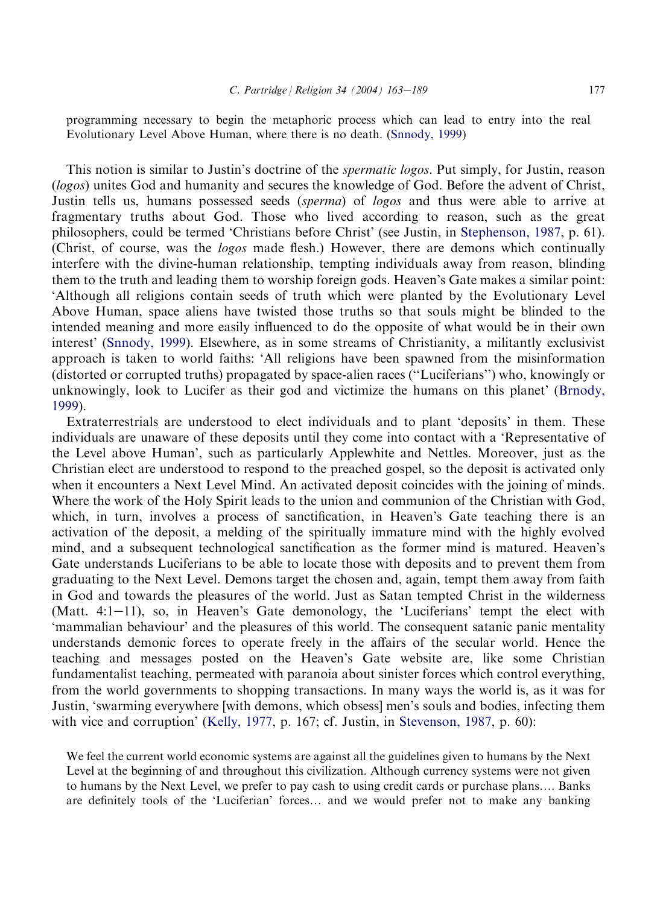programming necessary to begin the metaphoric process which can lead to entry into the real Evolutionary Level Above Human, where there is no death. ([Snnody, 1999](#page-25-0))

This notion is similar to Justin's doctrine of the *spermatic logos*. Put simply, for Justin, reason (logos) unites God and humanity and secures the knowledge of God. Before the advent of Christ, Justin tells us, humans possessed seeds (sperma) of logos and thus were able to arrive at fragmentary truths about God. Those who lived according to reason, such as the great philosophers, could be termed 'Christians before Christ' (see Justin, in [Stephenson, 1987](#page-25-0), p. 61). (Christ, of course, was the logos made flesh.) However, there are demons which continually interfere with the divine-human relationship, tempting individuals away from reason, blinding them to the truth and leading them to worship foreign gods. Heaven's Gate makes a similar point: 'Although all religions contain seeds of truth which were planted by the Evolutionary Level Above Human, space aliens have twisted those truths so that souls might be blinded to the intended meaning and more easily influenced to do the opposite of what would be in their own interest' ([Snnody, 1999\)](#page-25-0). Elsewhere, as in some streams of Christianity, a militantly exclusivist approach is taken to world faiths: 'All religions have been spawned from the misinformation (distorted or corrupted truths) propagated by space-alien races (''Luciferians'') who, knowingly or unknowingly, look to Lucifer as their god and victimize the humans on this planet' ([Brnody,](#page-23-0) [1999](#page-23-0)).

Extraterrestrials are understood to elect individuals and to plant 'deposits' in them. These individuals are unaware of these deposits until they come into contact with a 'Representative of the Level above Human', such as particularly Applewhite and Nettles. Moreover, just as the Christian elect are understood to respond to the preached gospel, so the deposit is activated only when it encounters a Next Level Mind. An activated deposit coincides with the joining of minds. Where the work of the Holy Spirit leads to the union and communion of the Christian with God, which, in turn, involves a process of sanctification, in Heaven's Gate teaching there is an activation of the deposit, a melding of the spiritually immature mind with the highly evolved mind, and a subsequent technological sanctification as the former mind is matured. Heaven's Gate understands Luciferians to be able to locate those with deposits and to prevent them from graduating to the Next Level. Demons target the chosen and, again, tempt them away from faith in God and towards the pleasures of the world. Just as Satan tempted Christ in the wilderness (Matt.  $4:1-11$ ), so, in Heaven's Gate demonology, the 'Luciferians' tempt the elect with 'mammalian behaviour' and the pleasures of this world. The consequent satanic panic mentality understands demonic forces to operate freely in the affairs of the secular world. Hence the teaching and messages posted on the Heaven's Gate website are, like some Christian fundamentalist teaching, permeated with paranoia about sinister forces which control everything, from the world governments to shopping transactions. In many ways the world is, as it was for Justin, 'swarming everywhere [with demons, which obsess] men's souls and bodies, infecting them with vice and corruption' ([Kelly, 1977,](#page-24-0) p. 167; cf. Justin, in [Stevenson, 1987,](#page-25-0) p. 60):

We feel the current world economic systems are against all the guidelines given to humans by the Next Level at the beginning of and throughout this civilization. Although currency systems were not given to humans by the Next Level, we prefer to pay cash to using credit cards or purchase plans.... Banks are definitely tools of the 'Luciferian' forces. and we would prefer not to make any banking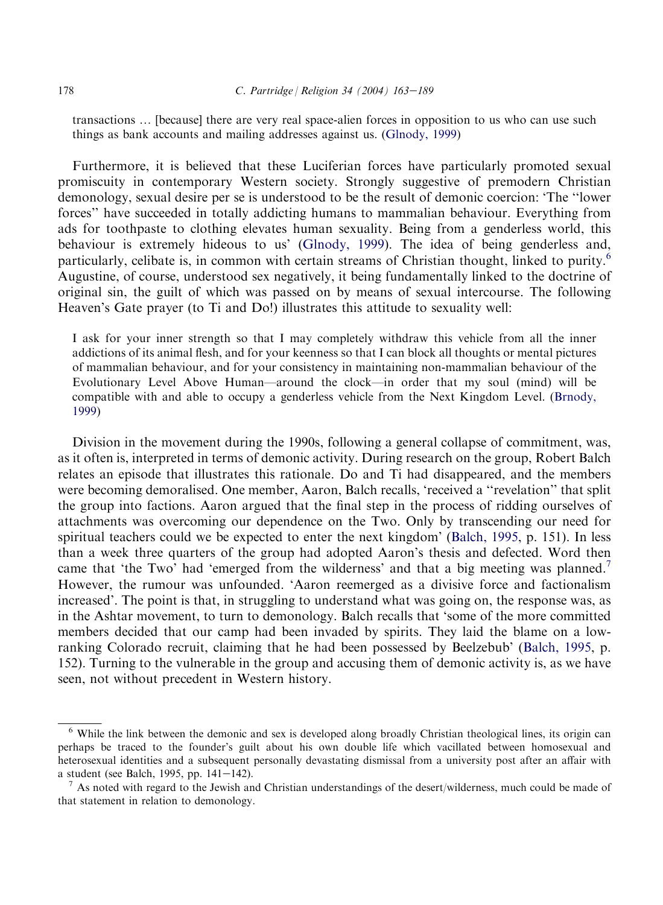transactions . [because] there are very real space-alien forces in opposition to us who can use such things as bank accounts and mailing addresses against us. ([Glnody, 1999](#page-24-0))

Furthermore, it is believed that these Luciferian forces have particularly promoted sexual promiscuity in contemporary Western society. Strongly suggestive of premodern Christian demonology, sexual desire per se is understood to be the result of demonic coercion: 'The ''lower forces'' have succeeded in totally addicting humans to mammalian behaviour. Everything from ads for toothpaste to clothing elevates human sexuality. Being from a genderless world, this behaviour is extremely hideous to us' ([Glnody, 1999\)](#page-24-0). The idea of being genderless and, particularly, celibate is, in common with certain streams of Christian thought, linked to purity.<sup>6</sup> Augustine, of course, understood sex negatively, it being fundamentally linked to the doctrine of original sin, the guilt of which was passed on by means of sexual intercourse. The following Heaven's Gate prayer (to Ti and Do!) illustrates this attitude to sexuality well:

I ask for your inner strength so that I may completely withdraw this vehicle from all the inner addictions of its animal flesh, and for your keenness so that I can block all thoughts or mental pictures of mammalian behaviour, and for your consistency in maintaining non-mammalian behaviour of the Evolutionary Level Above Human—around the clock—in order that my soul (mind) will be compatible with and able to occupy a genderless vehicle from the Next Kingdom Level. [\(Brnody,](#page-23-0) [1999](#page-23-0))

Division in the movement during the 1990s, following a general collapse of commitment, was, as it often is, interpreted in terms of demonic activity. During research on the group, Robert Balch relates an episode that illustrates this rationale. Do and Ti had disappeared, and the members were becoming demoralised. One member, Aaron, Balch recalls, 'received a ''revelation'' that split the group into factions. Aaron argued that the final step in the process of ridding ourselves of attachments was overcoming our dependence on the Two. Only by transcending our need for spiritual teachers could we be expected to enter the next kingdom' [\(Balch, 1995](#page-23-0), p. 151). In less than a week three quarters of the group had adopted Aaron's thesis and defected. Word then came that 'the Two' had 'emerged from the wilderness' and that a big meeting was planned.<sup>7</sup> However, the rumour was unfounded. 'Aaron reemerged as a divisive force and factionalism increased'. The point is that, in struggling to understand what was going on, the response was, as in the Ashtar movement, to turn to demonology. Balch recalls that 'some of the more committed members decided that our camp had been invaded by spirits. They laid the blame on a lowranking Colorado recruit, claiming that he had been possessed by Beelzebub' ([Balch, 1995](#page-23-0), p. 152). Turning to the vulnerable in the group and accusing them of demonic activity is, as we have seen, not without precedent in Western history.

<sup>&</sup>lt;sup>6</sup> While the link between the demonic and sex is developed along broadly Christian theological lines, its origin can perhaps be traced to the founder's guilt about his own double life which vacillated between homosexual and heterosexual identities and a subsequent personally devastating dismissal from a university post after an affair with a student (see Balch, 1995, pp. 141–142).

<sup>&</sup>lt;sup>7</sup> As noted with regard to the Jewish and Christian understandings of the desert/wilderness, much could be made of that statement in relation to demonology.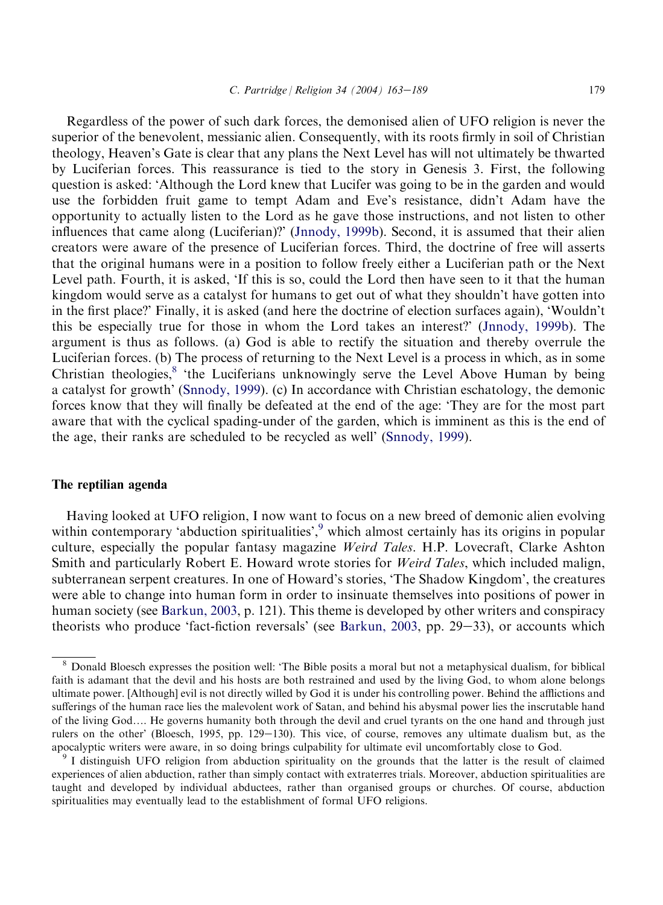Regardless of the power of such dark forces, the demonised alien of UFO religion is never the superior of the benevolent, messianic alien. Consequently, with its roots firmly in soil of Christian theology, Heaven's Gate is clear that any plans the Next Level has will not ultimately be thwarted by Luciferian forces. This reassurance is tied to the story in Genesis 3. First, the following question is asked: 'Although the Lord knew that Lucifer was going to be in the garden and would use the forbidden fruit game to tempt Adam and Eve's resistance, didn't Adam have the opportunity to actually listen to the Lord as he gave those instructions, and not listen to other influences that came along (Luciferian)?' [\(Jnnody, 1999b](#page-24-0)). Second, it is assumed that their alien creators were aware of the presence of Luciferian forces. Third, the doctrine of free will asserts that the original humans were in a position to follow freely either a Luciferian path or the Next Level path. Fourth, it is asked, 'If this is so, could the Lord then have seen to it that the human kingdom would serve as a catalyst for humans to get out of what they shouldn't have gotten into in the first place?' Finally, it is asked (and here the doctrine of election surfaces again), 'Wouldn't this be especially true for those in whom the Lord takes an interest?' [\(Jnnody, 1999b\)](#page-24-0). The argument is thus as follows. (a) God is able to rectify the situation and thereby overrule the Luciferian forces. (b) The process of returning to the Next Level is a process in which, as in some Christian theologies, $8$  'the Luciferians unknowingly serve the Level Above Human by being a catalyst for growth' [\(Snnody, 1999\)](#page-25-0). (c) In accordance with Christian eschatology, the demonic forces know that they will finally be defeated at the end of the age: 'They are for the most part aware that with the cyclical spading-under of the garden, which is imminent as this is the end of the age, their ranks are scheduled to be recycled as well' ([Snnody, 1999](#page-25-0)).

#### The reptilian agenda

Having looked at UFO religion, I now want to focus on a new breed of demonic alien evolving within contemporary 'abduction spiritualities',<sup>9</sup> which almost certainly has its origins in popular culture, especially the popular fantasy magazine Weird Tales. H.P. Lovecraft, Clarke Ashton Smith and particularly Robert E. Howard wrote stories for Weird Tales, which included malign, subterranean serpent creatures. In one of Howard's stories, 'The Shadow Kingdom', the creatures were able to change into human form in order to insinuate themselves into positions of power in human society (see [Barkun, 2003,](#page-23-0) p. 121). This theme is developed by other writers and conspiracy theorists who produce 'fact-fiction reversals' (see [Barkun, 2003,](#page-23-0) pp.  $29-33$ ), or accounts which

<sup>8</sup> Donald Bloesch expresses the position well: 'The Bible posits a moral but not a metaphysical dualism, for biblical faith is adamant that the devil and his hosts are both restrained and used by the living God, to whom alone belongs ultimate power. [Although] evil is not directly willed by God it is under his controlling power. Behind the afflictions and sufferings of the human race lies the malevolent work of Satan, and behind his abysmal power lies the inscrutable hand of the living God.. He governs humanity both through the devil and cruel tyrants on the one hand and through just rulers on the other' (Bloesch, 1995, pp. 129–130). This vice, of course, removes any ultimate dualism but, as the apocalyptic writers were aware, in so doing brings culpability for ultimate evil uncomfortably close to God.

<sup>&</sup>lt;sup>9</sup> I distinguish UFO religion from abduction spirituality on the grounds that the latter is the result of claimed experiences of alien abduction, rather than simply contact with extraterres trials. Moreover, abduction spiritualities are taught and developed by individual abductees, rather than organised groups or churches. Of course, abduction spiritualities may eventually lead to the establishment of formal UFO religions.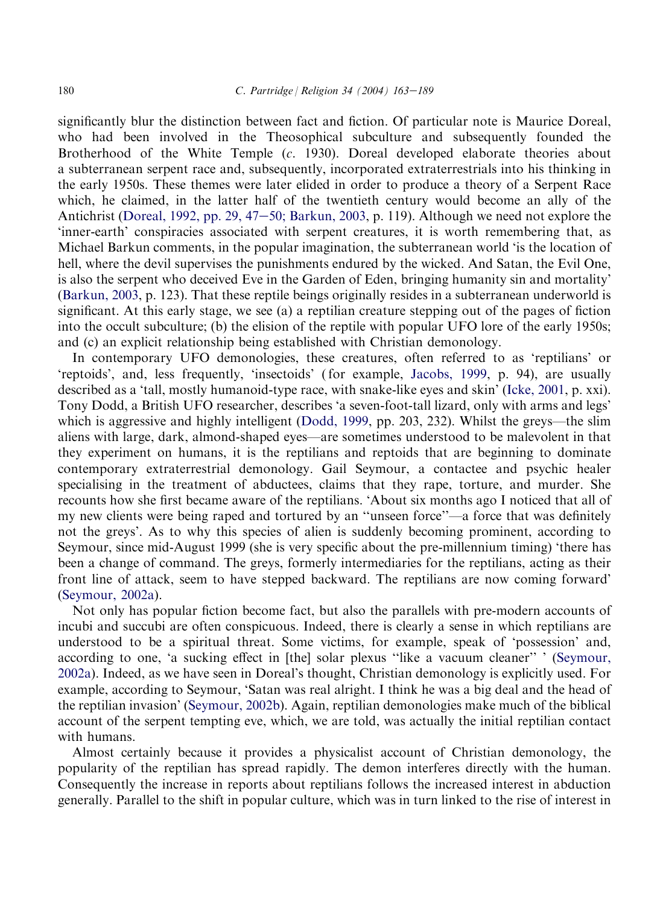significantly blur the distinction between fact and fiction. Of particular note is Maurice Doreal, who had been involved in the Theosophical subculture and subsequently founded the Brotherhood of the White Temple (c. 1930). Doreal developed elaborate theories about a subterranean serpent race and, subsequently, incorporated extraterrestrials into his thinking in the early 1950s. These themes were later elided in order to produce a theory of a Serpent Race which, he claimed, in the latter half of the twentieth century would become an ally of the Antichrist (Doreal, 1992, pp. 29,  $47-50$ ; Barkun, 2003, p. 119). Although we need not explore the 'inner-earth' conspiracies associated with serpent creatures, it is worth remembering that, as Michael Barkun comments, in the popular imagination, the subterranean world 'is the location of hell, where the devil supervises the punishments endured by the wicked. And Satan, the Evil One, is also the serpent who deceived Eve in the Garden of Eden, bringing humanity sin and mortality' [\(Barkun, 2003,](#page-23-0) p. 123). That these reptile beings originally resides in a subterranean underworld is significant. At this early stage, we see (a) a reptilian creature stepping out of the pages of fiction into the occult subculture; (b) the elision of the reptile with popular UFO lore of the early 1950s; and (c) an explicit relationship being established with Christian demonology.

In contemporary UFO demonologies, these creatures, often referred to as 'reptilians' or 'reptoids', and, less frequently, 'insectoids' ( for example, [Jacobs, 1999,](#page-24-0) p. 94), are usually described as a 'tall, mostly humanoid-type race, with snake-like eyes and skin' [\(Icke, 2001,](#page-24-0) p. xxi). Tony Dodd, a British UFO researcher, describes 'a seven-foot-tall lizard, only with arms and legs' which is aggressive and highly intelligent [\(Dodd, 1999,](#page-23-0) pp. 203, 232). Whilst the greys—the slim aliens with large, dark, almond-shaped eyes—are sometimes understood to be malevolent in that they experiment on humans, it is the reptilians and reptoids that are beginning to dominate contemporary extraterrestrial demonology. Gail Seymour, a contactee and psychic healer specialising in the treatment of abductees, claims that they rape, torture, and murder. She recounts how she first became aware of the reptilians. 'About six months ago I noticed that all of my new clients were being raped and tortured by an ''unseen force''—a force that was definitely not the greys'. As to why this species of alien is suddenly becoming prominent, according to Seymour, since mid-August 1999 (she is very specific about the pre-millennium timing) 'there has been a change of command. The greys, formerly intermediaries for the reptilians, acting as their front line of attack, seem to have stepped backward. The reptilians are now coming forward' [\(Seymour, 2002a\)](#page-25-0).

Not only has popular fiction become fact, but also the parallels with pre-modern accounts of incubi and succubi are often conspicuous. Indeed, there is clearly a sense in which reptilians are understood to be a spiritual threat. Some victims, for example, speak of 'possession' and, according to one, 'a sucking effect in [the] solar plexus ''like a vacuum cleaner'' ' [\(Seymour,](#page-25-0) [2002a\)](#page-25-0). Indeed, as we have seen in Doreal's thought, Christian demonology is explicitly used. For example, according to Seymour, 'Satan was real alright. I think he was a big deal and the head of the reptilian invasion' ([Seymour, 2002b\)](#page-25-0). Again, reptilian demonologies make much of the biblical account of the serpent tempting eve, which, we are told, was actually the initial reptilian contact with humans.

Almost certainly because it provides a physicalist account of Christian demonology, the popularity of the reptilian has spread rapidly. The demon interferes directly with the human. Consequently the increase in reports about reptilians follows the increased interest in abduction generally. Parallel to the shift in popular culture, which was in turn linked to the rise of interest in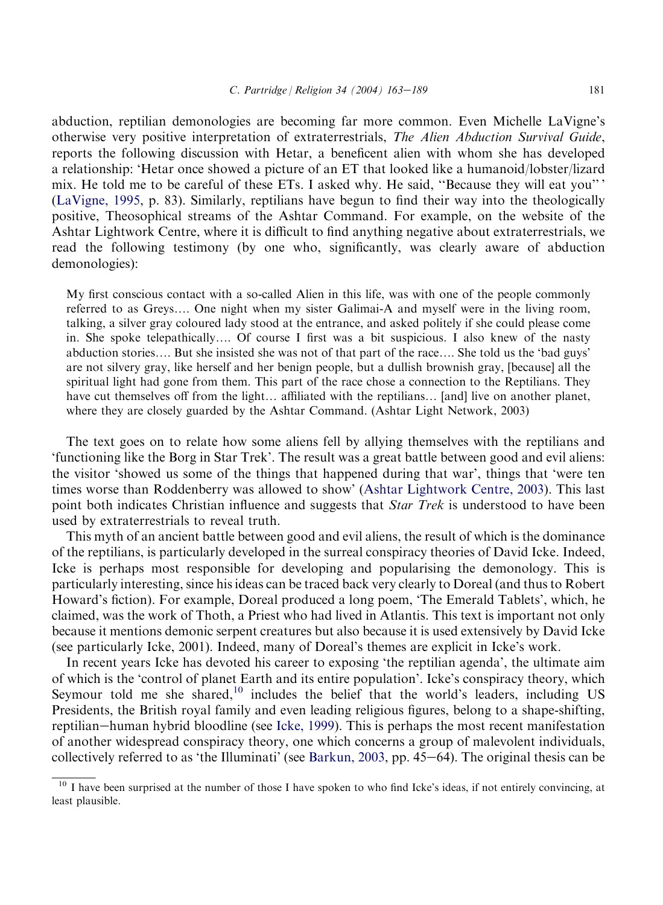abduction, reptilian demonologies are becoming far more common. Even Michelle LaVigne's otherwise very positive interpretation of extraterrestrials, The Alien Abduction Survival Guide, reports the following discussion with Hetar, a beneficent alien with whom she has developed a relationship: 'Hetar once showed a picture of an ET that looked like a humanoid/lobster/lizard mix. He told me to be careful of these ETs. I asked why. He said, ''Because they will eat you'' ' [\(LaVigne, 1995,](#page-25-0) p. 83). Similarly, reptilians have begun to find their way into the theologically positive, Theosophical streams of the Ashtar Command. For example, on the website of the Ashtar Lightwork Centre, where it is difficult to find anything negative about extraterrestrials, we read the following testimony (by one who, significantly, was clearly aware of abduction demonologies):

My first conscious contact with a so-called Alien in this life, was with one of the people commonly referred to as Greys.. One night when my sister Galimai-A and myself were in the living room, talking, a silver gray coloured lady stood at the entrance, and asked politely if she could please come in. She spoke telepathically.. Of course I first was a bit suspicious. I also knew of the nasty abduction stories.... But she insisted she was not of that part of the race.... She told us the 'bad guys' are not silvery gray, like herself and her benign people, but a dullish brownish gray, [because] all the spiritual light had gone from them. This part of the race chose a connection to the Reptilians. They have cut themselves off from the light... affiliated with the reptilians... [and] live on another planet, where they are closely guarded by the Ashtar Command. (Ashtar Light Network, 2003)

The text goes on to relate how some aliens fell by allying themselves with the reptilians and 'functioning like the Borg in Star Trek'. The result was a great battle between good and evil aliens: the visitor 'showed us some of the things that happened during that war', things that 'were ten times worse than Roddenberry was allowed to show' ([Ashtar Lightwork Centre, 2003\)](#page-23-0). This last point both indicates Christian influence and suggests that *Star Trek* is understood to have been used by extraterrestrials to reveal truth.

This myth of an ancient battle between good and evil aliens, the result of which is the dominance of the reptilians, is particularly developed in the surreal conspiracy theories of David Icke. Indeed, Icke is perhaps most responsible for developing and popularising the demonology. This is particularly interesting, since his ideas can be traced back very clearly to Doreal (and thus to Robert Howard's fiction). For example, Doreal produced a long poem, 'The Emerald Tablets', which, he claimed, was the work of Thoth, a Priest who had lived in Atlantis. This text is important not only because it mentions demonic serpent creatures but also because it is used extensively by David Icke (see particularly Icke, 2001). Indeed, many of Doreal's themes are explicit in Icke's work.

In recent years Icke has devoted his career to exposing 'the reptilian agenda', the ultimate aim of which is the 'control of planet Earth and its entire population'. Icke's conspiracy theory, which Seymour told me she shared,<sup>10</sup> includes the belief that the world's leaders, including US Presidents, the British royal family and even leading religious figures, belong to a shape-shifting, reptilian—human hybrid bloodline (see [Icke, 1999\)](#page-24-0). This is perhaps the most recent manifestation of another widespread conspiracy theory, one which concerns a group of malevolent individuals, collectively referred to as 'the Illuminati' (see [Barkun, 2003,](#page-23-0) pp.  $45-64$ ). The original thesis can be

 $10$  I have been surprised at the number of those I have spoken to who find Icke's ideas, if not entirely convincing, at least plausible.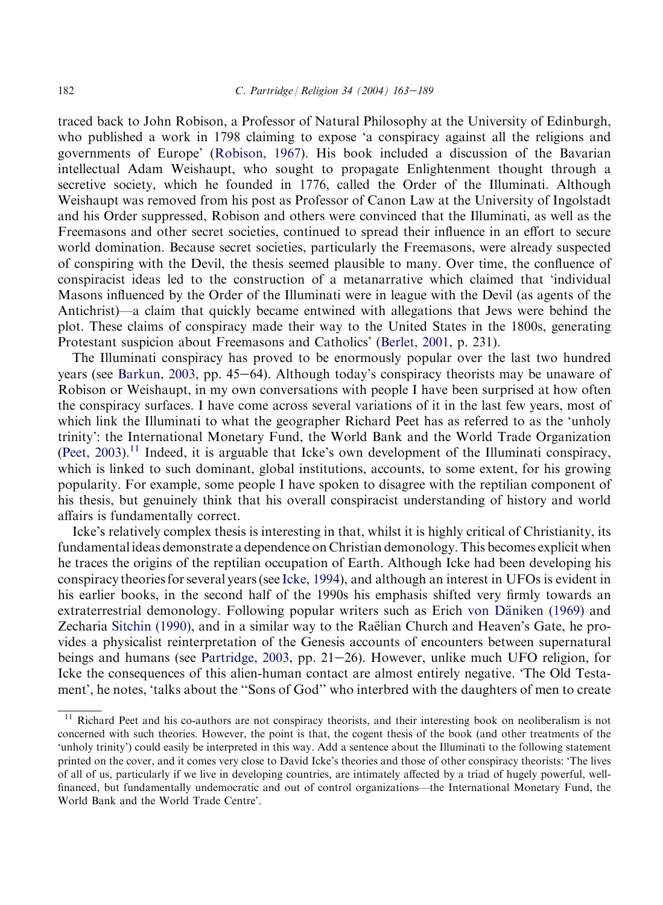traced back to John Robison, a Professor of Natural Philosophy at the University of Edinburgh, who published a work in 1798 claiming to expose 'a conspiracy against all the religions and governments of Europe' [\(Robison, 1967\)](#page-25-0). His book included a discussion of the Bavarian intellectual Adam Weishaupt, who sought to propagate Enlightenment thought through a secretive society, which he founded in 1776, called the Order of the Illuminati. Although Weishaupt was removed from his post as Professor of Canon Law at the University of Ingolstadt and his Order suppressed, Robison and others were convinced that the Illuminati, as well as the Freemasons and other secret societies, continued to spread their influence in an effort to secure world domination. Because secret societies, particularly the Freemasons, were already suspected of conspiring with the Devil, the thesis seemed plausible to many. Over time, the confluence of conspiracist ideas led to the construction of a metanarrative which claimed that 'individual Masons influenced by the Order of the Illuminati were in league with the Devil (as agents of the Antichrist)—a claim that quickly became entwined with allegations that Jews were behind the plot. These claims of conspiracy made their way to the United States in the 1800s, generating Protestant suspicion about Freemasons and Catholics' ([Berlet, 2001,](#page-23-0) p. 231).

The Illuminati conspiracy has proved to be enormously popular over the last two hundred years (see [Barkun, 2003](#page-23-0), pp. 45–64). Although today's conspiracy theorists may be unaware of Robison or Weishaupt, in my own conversations with people I have been surprised at how often the conspiracy surfaces. I have come across several variations of it in the last few years, most of which link the Illuminati to what the geographer Richard Peet has as referred to as the 'unholy trinity': the International Monetary Fund, the World Bank and the World Trade Organization [\(Peet, 2003\)](#page-25-0).<sup>11</sup> Indeed, it is arguable that Icke's own development of the Illuminati conspiracy, which is linked to such dominant, global institutions, accounts, to some extent, for his growing popularity. For example, some people I have spoken to disagree with the reptilian component of his thesis, but genuinely think that his overall conspiracist understanding of history and world affairs is fundamentally correct.

Icke's relatively complex thesis is interesting in that, whilst it is highly critical of Christianity, its fundamental ideas demonstrate a dependence on Christian demonology. This becomes explicit when he traces the origins of the reptilian occupation of Earth. Although Icke had been developing his conspiracy theories for several years (see [Icke, 1994\)](#page-24-0), and although an interest in UFOs is evident in his earlier books, in the second half of the 1990s his emphasis shifted very firmly towards an extraterrestrial demonology. Following popular writers such as Erich von Däniken (1969) and Zecharia [Sitchin \(1990\),](#page-25-0) and in a similar way to the Raelian Church and Heaven's Gate, he provides a physicalist reinterpretation of the Genesis accounts of encounters between supernatural beings and humans (see [Partridge, 2003](#page-25-0), pp.  $21-26$ ). However, unlike much UFO religion, for Icke the consequences of this alien-human contact are almost entirely negative. 'The Old Testament', he notes, 'talks about the ''Sons of God'' who interbred with the daughters of men to create

<sup>&</sup>lt;sup>11</sup> Richard Peet and his co-authors are not conspiracy theorists, and their interesting book on neoliberalism is not concerned with such theories. However, the point is that, the cogent thesis of the book (and other treatments of the 'unholy trinity') could easily be interpreted in this way. Add a sentence about the Illuminati to the following statement printed on the cover, and it comes very close to David Icke's theories and those of other conspiracy theorists: 'The lives of all of us, particularly if we live in developing countries, are intimately affected by a triad of hugely powerful, wellfinanced, but fundamentally undemocratic and out of control organizations—the International Monetary Fund, the World Bank and the World Trade Centre'.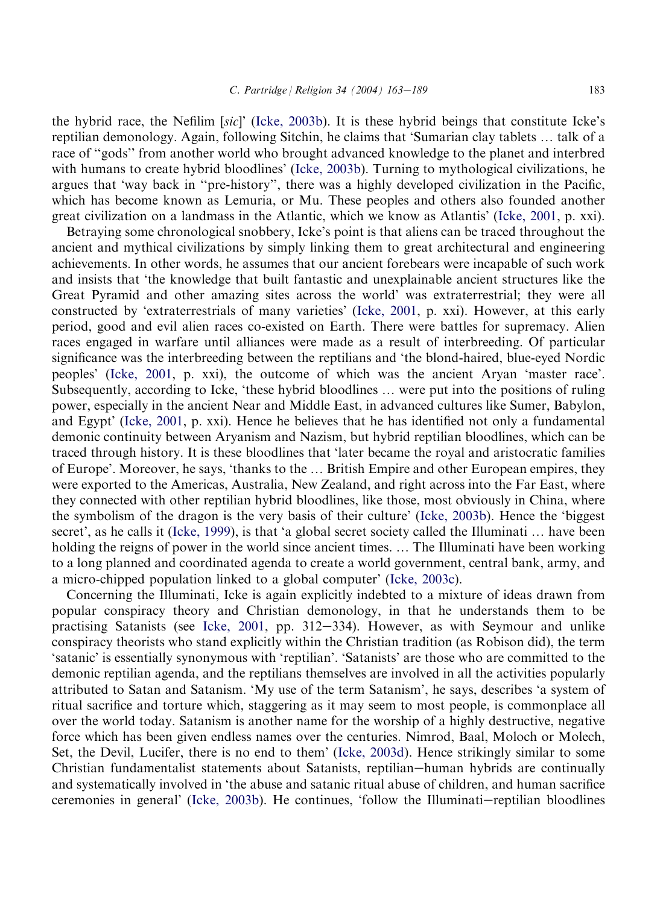the hybrid race, the Nefilim [sic]' ([Icke, 2003b\)](#page-24-0). It is these hybrid beings that constitute Icke's reptilian demonology. Again, following Sitchin, he claims that 'Sumarian clay tablets . talk of a race of ''gods'' from another world who brought advanced knowledge to the planet and interbred with humans to create hybrid bloodlines' [\(Icke, 2003b](#page-24-0)). Turning to mythological civilizations, he argues that 'way back in ''pre-history'', there was a highly developed civilization in the Pacific, which has become known as Lemuria, or Mu. These peoples and others also founded another great civilization on a landmass in the Atlantic, which we know as Atlantis' ([Icke, 2001](#page-24-0), p. xxi).

Betraying some chronological snobbery, Icke's point is that aliens can be traced throughout the ancient and mythical civilizations by simply linking them to great architectural and engineering achievements. In other words, he assumes that our ancient forebears were incapable of such work and insists that 'the knowledge that built fantastic and unexplainable ancient structures like the Great Pyramid and other amazing sites across the world' was extraterrestrial; they were all constructed by 'extraterrestrials of many varieties' [\(Icke, 2001](#page-24-0), p. xxi). However, at this early period, good and evil alien races co-existed on Earth. There were battles for supremacy. Alien races engaged in warfare until alliances were made as a result of interbreeding. Of particular significance was the interbreeding between the reptilians and 'the blond-haired, blue-eyed Nordic peoples' [\(Icke, 2001](#page-24-0), p. xxi), the outcome of which was the ancient Aryan 'master race'. Subsequently, according to Icke, 'these hybrid bloodlines ... were put into the positions of ruling power, especially in the ancient Near and Middle East, in advanced cultures like Sumer, Babylon, and Egypt' [\(Icke, 2001](#page-24-0), p. xxi). Hence he believes that he has identified not only a fundamental demonic continuity between Aryanism and Nazism, but hybrid reptilian bloodlines, which can be traced through history. It is these bloodlines that 'later became the royal and aristocratic families of Europe'. Moreover, he says, 'thanks to the ... British Empire and other European empires, they were exported to the Americas, Australia, New Zealand, and right across into the Far East, where they connected with other reptilian hybrid bloodlines, like those, most obviously in China, where the symbolism of the dragon is the very basis of their culture' ([Icke, 2003b](#page-24-0)). Hence the 'biggest secret', as he calls it ([Icke, 1999](#page-24-0)), is that 'a global secret society called the Illuminati . have been holding the reigns of power in the world since ancient times. ... The Illuminati have been working to a long planned and coordinated agenda to create a world government, central bank, army, and a micro-chipped population linked to a global computer' [\(Icke, 2003c](#page-24-0)).

Concerning the Illuminati, Icke is again explicitly indebted to a mixture of ideas drawn from popular conspiracy theory and Christian demonology, in that he understands them to be practising Satanists (see [Icke, 2001](#page-24-0), pp.  $312-334$ ). However, as with Seymour and unlike conspiracy theorists who stand explicitly within the Christian tradition (as Robison did), the term 'satanic' is essentially synonymous with 'reptilian'. 'Satanists' are those who are committed to the demonic reptilian agenda, and the reptilians themselves are involved in all the activities popularly attributed to Satan and Satanism. 'My use of the term Satanism', he says, describes 'a system of ritual sacrifice and torture which, staggering as it may seem to most people, is commonplace all over the world today. Satanism is another name for the worship of a highly destructive, negative force which has been given endless names over the centuries. Nimrod, Baal, Moloch or Molech, Set, the Devil, Lucifer, there is no end to them' [\(Icke, 2003d\)](#page-24-0). Hence strikingly similar to some Christian fundamentalist statements about Satanists, reptilian-human hybrids are continually and systematically involved in 'the abuse and satanic ritual abuse of children, and human sacrifice ceremonies in general' [\(Icke, 2003b\)](#page-24-0). He continues, 'follow the Illuminati-reptilian bloodlines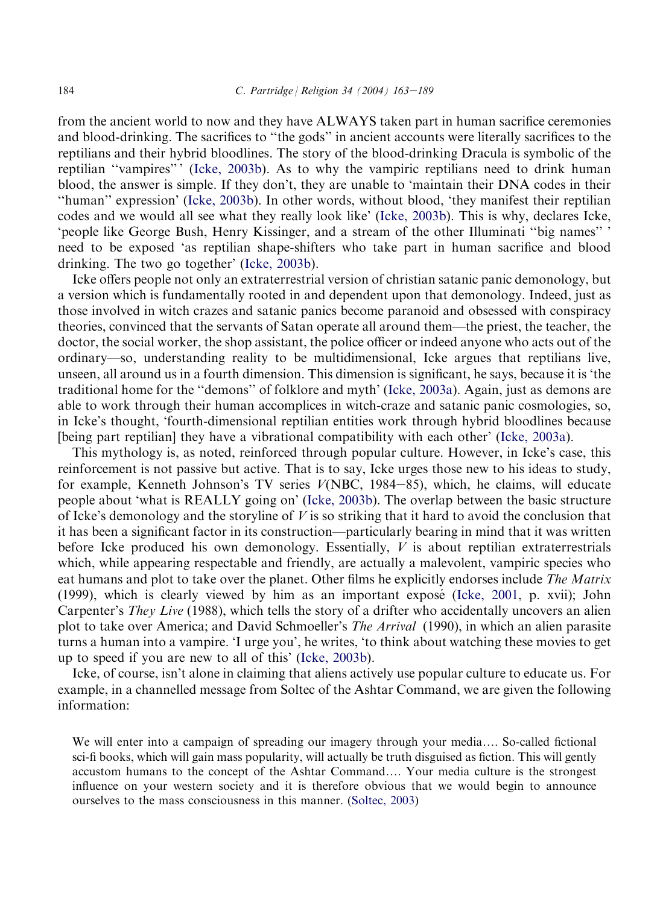from the ancient world to now and they have ALWAYS taken part in human sacrifice ceremonies and blood-drinking. The sacrifices to ''the gods'' in ancient accounts were literally sacrifices to the reptilians and their hybrid bloodlines. The story of the blood-drinking Dracula is symbolic of the reptilian "vampires"' [\(Icke, 2003b\)](#page-24-0). As to why the vampiric reptilians need to drink human blood, the answer is simple. If they don't, they are unable to 'maintain their DNA codes in their ''human'' expression' [\(Icke, 2003b](#page-24-0)). In other words, without blood, 'they manifest their reptilian codes and we would all see what they really look like' ([Icke, 2003b](#page-24-0)). This is why, declares Icke, 'people like George Bush, Henry Kissinger, and a stream of the other Illuminati ''big names'' ' need to be exposed 'as reptilian shape-shifters who take part in human sacrifice and blood drinking. The two go together' ([Icke, 2003b](#page-24-0)).

Icke offers people not only an extraterrestrial version of christian satanic panic demonology, but a version which is fundamentally rooted in and dependent upon that demonology. Indeed, just as those involved in witch crazes and satanic panics become paranoid and obsessed with conspiracy theories, convinced that the servants of Satan operate all around them—the priest, the teacher, the doctor, the social worker, the shop assistant, the police officer or indeed anyone who acts out of the ordinary—so, understanding reality to be multidimensional, Icke argues that reptilians live, unseen, all around us in a fourth dimension. This dimension is significant, he says, because it is 'the traditional home for the ''demons'' of folklore and myth' ([Icke, 2003a\)](#page-24-0). Again, just as demons are able to work through their human accomplices in witch-craze and satanic panic cosmologies, so, in Icke's thought, 'fourth-dimensional reptilian entities work through hybrid bloodlines because [being part reptilian] they have a vibrational compatibility with each other' ([Icke, 2003a\)](#page-24-0).

This mythology is, as noted, reinforced through popular culture. However, in Icke's case, this reinforcement is not passive but active. That is to say, Icke urges those new to his ideas to study, for example, Kenneth Johnson's TV series  $V(NBC, 1984-85)$ , which, he claims, will educate people about 'what is REALLY going on' [\(Icke, 2003b\)](#page-24-0). The overlap between the basic structure of Icke's demonology and the storyline of  $V$  is so striking that it hard to avoid the conclusion that it has been a significant factor in its construction—particularly bearing in mind that it was written before Icke produced his own demonology. Essentially,  $V$  is about reptilian extraterrestrials which, while appearing respectable and friendly, are actually a malevolent, vampiric species who eat humans and plot to take over the planet. Other films he explicitly endorses include The Matrix (1999), which is clearly viewed by him as an important expose´ ([Icke, 2001,](#page-24-0) p. xvii); John Carpenter's They Live (1988), which tells the story of a drifter who accidentally uncovers an alien plot to take over America; and David Schmoeller's The Arrival (1990), in which an alien parasite turns a human into a vampire. 'I urge you', he writes, 'to think about watching these movies to get up to speed if you are new to all of this' ([Icke, 2003b](#page-24-0)).

Icke, of course, isn't alone in claiming that aliens actively use popular culture to educate us. For example, in a channelled message from Soltec of the Ashtar Command, we are given the following information:

We will enter into a campaign of spreading our imagery through your media.... So-called fictional sci-fi books, which will gain mass popularity, will actually be truth disguised as fiction. This will gently accustom humans to the concept of the Ashtar Command.. Your media culture is the strongest influence on your western society and it is therefore obvious that we would begin to announce ourselves to the mass consciousness in this manner. ([Soltec, 2003](#page-25-0))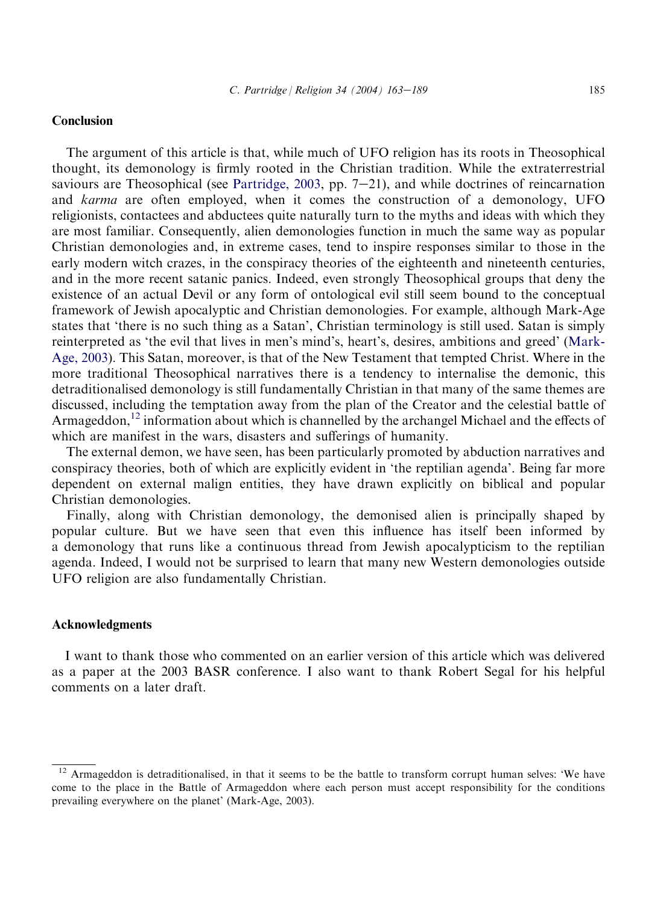### Conclusion

The argument of this article is that, while much of UFO religion has its roots in Theosophical thought, its demonology is firmly rooted in the Christian tradition. While the extraterrestrial saviours are Theosophical (see [Partridge, 2003](#page-25-0), pp.  $7-21$ ), and while doctrines of reincarnation and karma are often employed, when it comes the construction of a demonology, UFO religionists, contactees and abductees quite naturally turn to the myths and ideas with which they are most familiar. Consequently, alien demonologies function in much the same way as popular Christian demonologies and, in extreme cases, tend to inspire responses similar to those in the early modern witch crazes, in the conspiracy theories of the eighteenth and nineteenth centuries, and in the more recent satanic panics. Indeed, even strongly Theosophical groups that deny the existence of an actual Devil or any form of ontological evil still seem bound to the conceptual framework of Jewish apocalyptic and Christian demonologies. For example, although Mark-Age states that 'there is no such thing as a Satan', Christian terminology is still used. Satan is simply reinterpreted as 'the evil that lives in men's mind's, heart's, desires, ambitions and greed' ([Mark-](#page-25-0)[Age, 2003\)](#page-25-0). This Satan, moreover, is that of the New Testament that tempted Christ. Where in the more traditional Theosophical narratives there is a tendency to internalise the demonic, this detraditionalised demonology is still fundamentally Christian in that many of the same themes are discussed, including the temptation away from the plan of the Creator and the celestial battle of Armageddon,<sup>12</sup> information about which is channelled by the archangel Michael and the effects of which are manifest in the wars, disasters and sufferings of humanity.

The external demon, we have seen, has been particularly promoted by abduction narratives and conspiracy theories, both of which are explicitly evident in 'the reptilian agenda'. Being far more dependent on external malign entities, they have drawn explicitly on biblical and popular Christian demonologies.

Finally, along with Christian demonology, the demonised alien is principally shaped by popular culture. But we have seen that even this influence has itself been informed by a demonology that runs like a continuous thread from Jewish apocalypticism to the reptilian agenda. Indeed, I would not be surprised to learn that many new Western demonologies outside UFO religion are also fundamentally Christian.

### Acknowledgments

I want to thank those who commented on an earlier version of this article which was delivered as a paper at the 2003 BASR conference. I also want to thank Robert Segal for his helpful comments on a later draft.

<sup>12</sup> Armageddon is detraditionalised, in that it seems to be the battle to transform corrupt human selves: 'We have come to the place in the Battle of Armageddon where each person must accept responsibility for the conditions prevailing everywhere on the planet' (Mark-Age, 2003).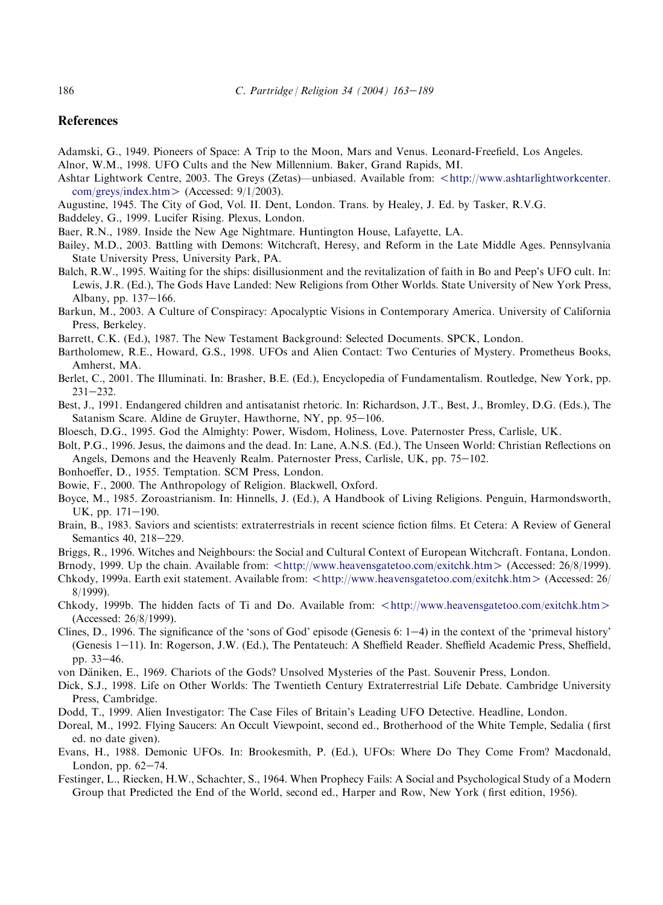#### <span id="page-23-0"></span>References

Adamski, G., 1949. Pioneers of Space: A Trip to the Moon, Mars and Venus. Leonard-Freefield, Los Angeles.

- Alnor, W.M., 1998. UFO Cults and the New Millennium. Baker, Grand Rapids, MI.
- Ashtar Lightwork Centre, 2003. The Greys (Zetas)—unbiased. Available from: <[http://www.ashtarlightworkcenter.](http://www.ashtarlightworkcenter.com/greys/index.htm)  $com/grey/index.htm$  (Accessed: 9/1/2003).
- Augustine, 1945. The City of God, Vol. II. Dent, London. Trans. by Healey, J. Ed. by Tasker, R.V.G.
- Baddeley, G., 1999. Lucifer Rising. Plexus, London.
- Baer, R.N., 1989. Inside the New Age Nightmare. Huntington House, Lafayette, LA.
- Bailey, M.D., 2003. Battling with Demons: Witchcraft, Heresy, and Reform in the Late Middle Ages. Pennsylvania State University Press, University Park, PA.
- Balch, R.W., 1995. Waiting for the ships: disillusionment and the revitalization of faith in Bo and Peep's UFO cult. In: Lewis, J.R. (Ed.), The Gods Have Landed: New Religions from Other Worlds. State University of New York Press, Albany, pp.  $137-166$ .
- Barkun, M., 2003. A Culture of Conspiracy: Apocalyptic Visions in Contemporary America. University of California Press, Berkeley.
- Barrett, C.K. (Ed.), 1987. The New Testament Background: Selected Documents. SPCK, London.
- Bartholomew, R.E., Howard, G.S., 1998. UFOs and Alien Contact: Two Centuries of Mystery. Prometheus Books, Amherst, MA.
- Berlet, C., 2001. The Illuminati. In: Brasher, B.E. (Ed.), Encyclopedia of Fundamentalism. Routledge, New York, pp.  $231 - 232$ .
- Best, J., 1991. Endangered children and antisatanist rhetoric. In: Richardson, J.T., Best, J., Bromley, D.G. (Eds.), The Satanism Scare. Aldine de Gruyter, Hawthorne, NY, pp. 95-106.
- Bloesch, D.G., 1995. God the Almighty: Power, Wisdom, Holiness, Love. Paternoster Press, Carlisle, UK.
- Bolt, P.G., 1996. Jesus, the daimons and the dead. In: Lane, A.N.S. (Ed.), The Unseen World: Christian Reflections on Angels, Demons and the Heavenly Realm. Paternoster Press, Carlisle, UK, pp. 75–102.
- Bonhoeffer, D., 1955. Temptation. SCM Press, London.
- Bowie, F., 2000. The Anthropology of Religion. Blackwell, Oxford.
- Boyce, M., 1985. Zoroastrianism. In: Hinnells, J. (Ed.), A Handbook of Living Religions. Penguin, Harmondsworth, UK, pp.  $171-190$ .
- Brain, B., 1983. Saviors and scientists: extraterrestrials in recent science fiction films. Et Cetera: A Review of General Semantics 40, 218-229.
- Briggs, R., 1996. Witches and Neighbours: the Social and Cultural Context of European Witchcraft. Fontana, London.
- Brnody, 1999. Up the chain. Available from: <<http://www.heavensgatetoo.com/exitchk.htm>> (Accessed: 26/8/1999).
- Chkody, 1999a. Earth exit statement. Available from: <<http://www.heavensgatetoo.com/exitchk.htm>> (Accessed: 26/ 8/1999).
- Chkody, 1999b. The hidden facts of Ti and Do. Available from:  $\langle \text{http://www.heavesgatetoo.com/exitchk.htm>}$ (Accessed: 26/8/1999).
- Clines, D., 1996. The significance of the 'sons of God' episode (Genesis 6:  $1-4$ ) in the context of the 'primeval history' (Genesis 1–11). In: Rogerson, J.W. (Ed.), The Pentateuch: A Sheffield Reader. Sheffield Academic Press, Sheffield, pp. 33-46.
- von Däniken, E., 1969. Chariots of the Gods? Unsolved Mysteries of the Past. Souvenir Press, London.
- Dick, S.J., 1998. Life on Other Worlds: The Twentieth Century Extraterrestrial Life Debate. Cambridge University Press, Cambridge.
- Dodd, T., 1999. Alien Investigator: The Case Files of Britain's Leading UFO Detective. Headline, London.
- Doreal, M., 1992. Flying Saucers: An Occult Viewpoint, second ed., Brotherhood of the White Temple, Sedalia ( first ed. no date given).
- Evans, H., 1988. Demonic UFOs. In: Brookesmith, P. (Ed.), UFOs: Where Do They Come From? Macdonald, London, pp.  $62-74$ .
- Festinger, L., Riecken, H.W., Schachter, S., 1964. When Prophecy Fails: A Social and Psychological Study of a Modern Group that Predicted the End of the World, second ed., Harper and Row, New York ( first edition, 1956).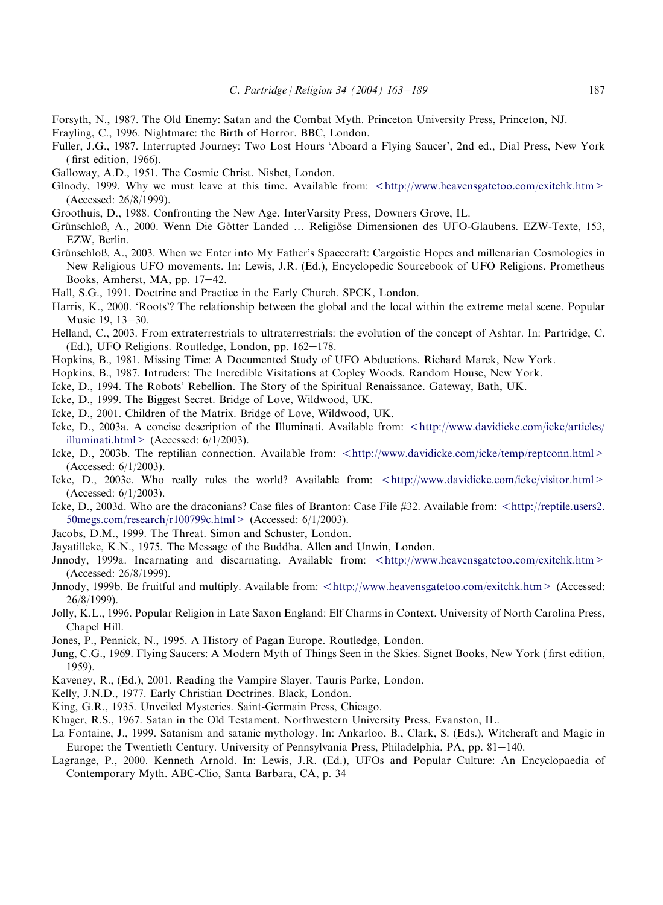- <span id="page-24-0"></span>Forsyth, N., 1987. The Old Enemy: Satan and the Combat Myth. Princeton University Press, Princeton, NJ.
- Frayling, C., 1996. Nightmare: the Birth of Horror. BBC, London.
- Fuller, J.G., 1987. Interrupted Journey: Two Lost Hours 'Aboard a Flying Saucer', 2nd ed., Dial Press, New York ( first edition, 1966).
- Galloway, A.D., 1951. The Cosmic Christ. Nisbet, London.
- Glnody, 1999. Why we must leave at this time. Available from:  $\langle \text{http://www.heavesgatetoo.com/exitchk.htm.} \rangle$ (Accessed: 26/8/1999).
- Groothuis, D., 1988. Confronting the New Age. InterVarsity Press, Downers Grove, IL.
- Grünschloß, A., 2000. Wenn Die Götter Landed ... Religiöse Dimensionen des UFO-Glaubens. EZW-Texte, 153, EZW, Berlin.
- Grünschloß, A., 2003. When we Enter into My Father's Spacecraft: Cargoistic Hopes and millenarian Cosmologies in New Religious UFO movements. In: Lewis, J.R. (Ed.), Encyclopedic Sourcebook of UFO Religions. Prometheus Books, Amherst, MA, pp. 17-42.
- Hall, S.G., 1991. Doctrine and Practice in the Early Church. SPCK, London.
- Harris, K., 2000. 'Roots'? The relationship between the global and the local within the extreme metal scene. Popular Music 19, 13-30.
- Helland, C., 2003. From extraterrestrials to ultraterrestrials: the evolution of the concept of Ashtar. In: Partridge, C.  $(Ed.)$ , UFO Religions. Routledge, London, pp.  $162-178$ .
- Hopkins, B., 1981. Missing Time: A Documented Study of UFO Abductions. Richard Marek, New York.
- Hopkins, B., 1987. Intruders: The Incredible Visitations at Copley Woods. Random House, New York.
- Icke, D., 1994. The Robots' Rebellion. The Story of the Spiritual Renaissance. Gateway, Bath, UK.
- Icke, D., 1999. The Biggest Secret. Bridge of Love, Wildwood, UK.
- Icke, D., 2001. Children of the Matrix. Bridge of Love, Wildwood, UK.
- Icke, D., 2003a. A concise description of the Illuminati. Available from: <[http://www.davidicke.com/icke/articles/](http://www.davidicke.com/icke/articles/illuminati.html) [illuminati.html>](http://www.davidicke.com/icke/articles/illuminati.html) (Accessed:  $6/1/2003$ ).
- Icke, D., 2003b. The reptilian connection. Available from: <[http://www.davidicke.com/icke/temp/reptconn.html>](http://www.davidicke.com/icke/temp/reptconn.html) (Accessed: 6/1/2003).
- Icke, D., 2003c. Who really rules the world? Available from:  $\langle \text{http://www.davidicke.com/icke/visitor.html} \rangle$ (Accessed: 6/1/2003).
- Icke, D., 2003d. Who are the draconians? Case files of Branton: Case File #32. Available from: <[http://reptile.users2.](http://reptile.users2.50megs.com/research/r100799c.html) [50megs.com/research/r100799c.html>](http://reptile.users2.50megs.com/research/r100799c.html) (Accessed: 6/1/2003).
- Jacobs, D.M., 1999. The Threat. Simon and Schuster, London.
- Jayatilleke, K.N., 1975. The Message of the Buddha. Allen and Unwin, London.
- Jnnody, 1999a. Incarnating and discarnating. Available from: <[http://www.heavensgatetoo.com/exitchk.htm>](http://www.heavensgatetoo.com/exitchk.htm) (Accessed: 26/8/1999).
- Jnnody, 1999b. Be fruitful and multiply. Available from: <[http://www.heavensgatetoo.com/exitchk.htm>](http://www.heavensgatetoo.com/exitchk.htm) (Accessed: 26/8/1999).
- Jolly, K.L., 1996. Popular Religion in Late Saxon England: Elf Charms in Context. University of North Carolina Press, Chapel Hill.
- Jones, P., Pennick, N., 1995. A History of Pagan Europe. Routledge, London.
- Jung, C.G., 1969. Flying Saucers: A Modern Myth of Things Seen in the Skies. Signet Books, New York ( first edition, 1959).
- Kaveney, R., (Ed.), 2001. Reading the Vampire Slayer. Tauris Parke, London.
- Kelly, J.N.D., 1977. Early Christian Doctrines. Black, London.
- King, G.R., 1935. Unveiled Mysteries. Saint-Germain Press, Chicago.
- Kluger, R.S., 1967. Satan in the Old Testament. Northwestern University Press, Evanston, IL.
- La Fontaine, J., 1999. Satanism and satanic mythology. In: Ankarloo, B., Clark, S. (Eds.), Witchcraft and Magic in Europe: the Twentieth Century. University of Pennsylvania Press, Philadelphia, PA, pp. 81-140.
- Lagrange, P., 2000. Kenneth Arnold. In: Lewis, J.R. (Ed.), UFOs and Popular Culture: An Encyclopaedia of Contemporary Myth. ABC-Clio, Santa Barbara, CA, p. 34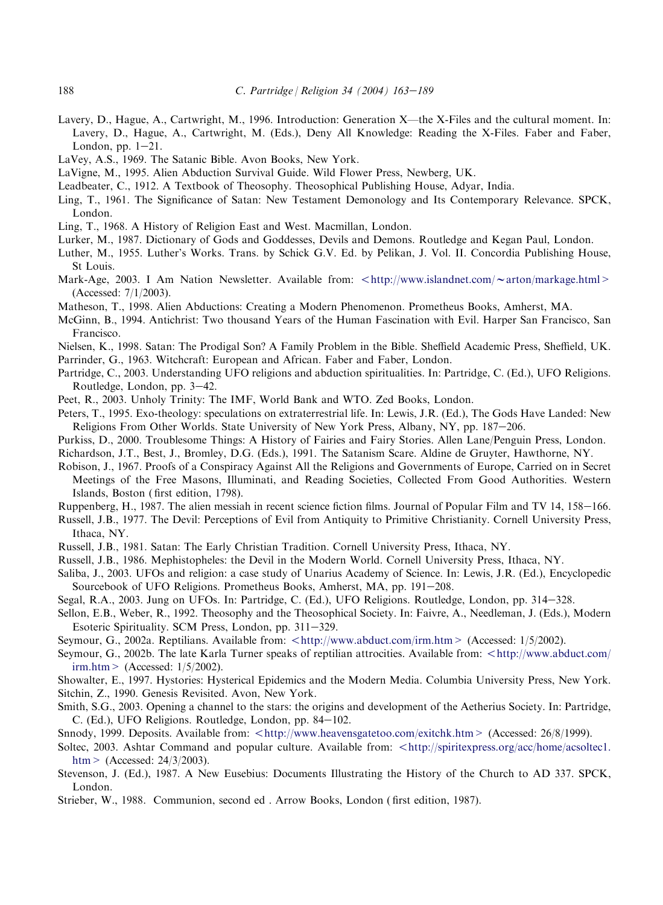- <span id="page-25-0"></span>Lavery, D., Hague, A., Cartwright, M., 1996. Introduction: Generation X—the X-Files and the cultural moment. In: Lavery, D., Hague, A., Cartwright, M. (Eds.), Deny All Knowledge: Reading the X-Files. Faber and Faber, London, pp.  $1-21$ .
- LaVey, A.S., 1969. The Satanic Bible. Avon Books, New York.
- LaVigne, M., 1995. Alien Abduction Survival Guide. Wild Flower Press, Newberg, UK.
- Leadbeater, C., 1912. A Textbook of Theosophy. Theosophical Publishing House, Adyar, India.
- Ling, T., 1961. The Significance of Satan: New Testament Demonology and Its Contemporary Relevance. SPCK, London.
- Ling, T., 1968. A History of Religion East and West. Macmillan, London.
- Lurker, M., 1987. Dictionary of Gods and Goddesses, Devils and Demons. Routledge and Kegan Paul, London.
- Luther, M., 1955. Luther's Works. Trans. by Schick G.V. Ed. by Pelikan, J. Vol. II. Concordia Publishing House, St Louis.
- Mark-Age, 2003. I Am Nation Newsletter. Available from: <[http://www.islandnet.com/](http://www.islandnet.com/~arton/markage.html)~arton/markage.html> (Accessed: 7/1/2003).
- Matheson, T., 1998. Alien Abductions: Creating a Modern Phenomenon. Prometheus Books, Amherst, MA.
- McGinn, B., 1994. Antichrist: Two thousand Years of the Human Fascination with Evil. Harper San Francisco, San Francisco.
- Nielsen, K., 1998. Satan: The Prodigal Son? A Family Problem in the Bible. Sheffield Academic Press, Sheffield, UK.

Parrinder, G., 1963. Witchcraft: European and African. Faber and Faber, London.

- Partridge, C., 2003. Understanding UFO religions and abduction spiritualities. In: Partridge, C. (Ed.), UFO Religions. Routledge, London, pp. 3-42.
- Peet, R., 2003. Unholy Trinity: The IMF, World Bank and WTO. Zed Books, London.
- Peters, T., 1995. Exo-theology: speculations on extraterrestrial life. In: Lewis, J.R. (Ed.), The Gods Have Landed: New Religions From Other Worlds. State University of New York Press, Albany, NY, pp. 187-206.
- Purkiss, D., 2000. Troublesome Things: A History of Fairies and Fairy Stories. Allen Lane/Penguin Press, London.
- Richardson, J.T., Best, J., Bromley, D.G. (Eds.), 1991. The Satanism Scare. Aldine de Gruyter, Hawthorne, NY.
- Robison, J., 1967. Proofs of a Conspiracy Against All the Religions and Governments of Europe, Carried on in Secret Meetings of the Free Masons, Illuminati, and Reading Societies, Collected From Good Authorities. Western Islands, Boston ( first edition, 1798).
- Ruppenberg, H., 1987. The alien messiah in recent science fiction films. Journal of Popular Film and TV 14,  $158-166$ .
- Russell, J.B., 1977. The Devil: Perceptions of Evil from Antiquity to Primitive Christianity. Cornell University Press, Ithaca, NY.
- Russell, J.B., 1981. Satan: The Early Christian Tradition. Cornell University Press, Ithaca, NY.
- Russell, J.B., 1986. Mephistopheles: the Devil in the Modern World. Cornell University Press, Ithaca, NY.
- Saliba, J., 2003. UFOs and religion: a case study of Unarius Academy of Science. In: Lewis, J.R. (Ed.), Encyclopedic Sourcebook of UFO Religions. Prometheus Books, Amherst, MA, pp. 191-208.
- Segal, R.A., 2003. Jung on UFOs. In: Partridge, C. (Ed.), UFO Religions. Routledge, London, pp. 314–328.
- Sellon, E.B., Weber, R., 1992. Theosophy and the Theosophical Society. In: Faivre, A., Needleman, J. (Eds.), Modern Esoteric Spirituality. SCM Press, London, pp. 311-329.
- Seymour, G., 2002a. Reptilians. Available from: <[http://www.abduct.com/irm.htm>](http://www.abduct.com/irm.htm) (Accessed: 1/5/2002).
- Seymour, G., 2002b. The late Karla Turner speaks of reptilian attrocities. Available from: <[http://www.abduct.com/](http://www.abduct.com/irm.htm) [irm.htm>](http://www.abduct.com/irm.htm) (Accessed: 1/5/2002).

Showalter, E., 1997. Hystories: Hysterical Epidemics and the Modern Media. Columbia University Press, New York. Sitchin, Z., 1990. Genesis Revisited. Avon, New York.

- Smith, S.G., 2003. Opening a channel to the stars: the origins and development of the Aetherius Society. In: Partridge, C. (Ed.), UFO Religions. Routledge, London, pp. 84-102.
- Snnody, 1999. Deposits. Available from: <[http://www.heavensgatetoo.com/exitchk.htm>](http://www.heavensgatetoo.com/exitchk.htm) (Accessed: 26/8/1999).
- Soltec, 2003. Ashtar Command and popular culture. Available from: <[http://spiritexpress.org/acc/home/acsoltec1.](http://spiritexpress.org/acc/home/acsoltec1.htm) [htm>](http://spiritexpress.org/acc/home/acsoltec1.htm) (Accessed: 24/3/2003).
- Stevenson, J. (Ed.), 1987. A New Eusebius: Documents Illustrating the History of the Church to AD 337. SPCK, London.
- Strieber, W., 1988. Communion, second ed . Arrow Books, London ( first edition, 1987).